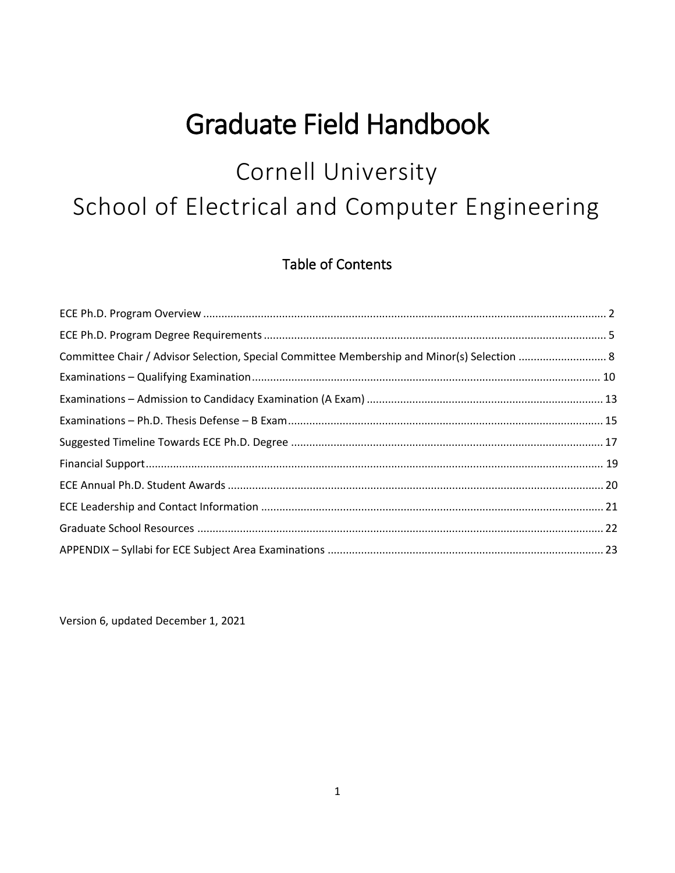# **Graduate Field Handbook**

# Cornell University School of Electrical and Computer Engineering

# **Table of Contents**

| Committee Chair / Advisor Selection, Special Committee Membership and Minor(s) Selection  8 |  |
|---------------------------------------------------------------------------------------------|--|
|                                                                                             |  |
|                                                                                             |  |
|                                                                                             |  |
|                                                                                             |  |
|                                                                                             |  |
|                                                                                             |  |
|                                                                                             |  |
|                                                                                             |  |
|                                                                                             |  |

Version 6, updated December 1, 2021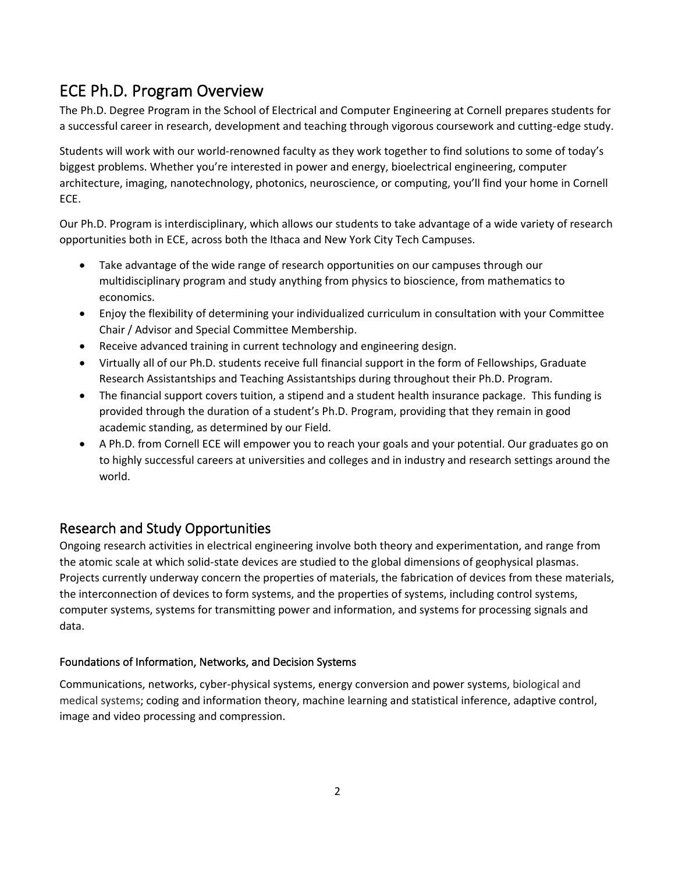# <span id="page-1-0"></span>ECE Ph.D. Program Overview

The Ph.D. Degree Program in the School of Electrical and Computer Engineering at Cornell prepares students for a successful career in research, development and teaching through vigorous coursework and cutting-edge study.

Students will work with our world-renowned faculty as they work together to find solutions to some of today's biggest problems. Whether you're interested in power and energy, bioelectrical engineering, computer architecture, imaging, nanotechnology, photonics, neuroscience, or computing, you'll find your home in Cornell ECE.

Our Ph.D. Program is interdisciplinary, which allows our students to take advantage of a wide variety of research opportunities both in ECE, across both the Ithaca and New York City Tech Campuses.

- Take advantage of the wide range of research opportunities on our campuses through our multidisciplinary program and study anything from physics to bioscience, from mathematics to economics.
- Enjoy the flexibility of determining your individualized curriculum in consultation with your Committee Chair / Advisor and Special Committee Membership.
- Receive advanced training in current technology and engineering design.
- Virtually all of our Ph.D. students receive full financial support in the form of Fellowships, Graduate Research Assistantships and Teaching Assistantships during throughout their Ph.D. Program.
- The financial support covers tuition, a stipend and a student health insurance package. This funding is provided through the duration of a student's Ph.D. Program, providing that they remain in good academic standing, as determined by our Field.
- A Ph.D. from Cornell ECE will empower you to reach your goals and your potential. Our graduates go on to highly successful careers at universities and colleges and in industry and research settings around the world.

### Research and Study Opportunities

Ongoing research activities in electrical engineering involve both theory and experimentation, and range from the atomic scale at which solid-state devices are studied to the global dimensions of geophysical plasmas. Projects currently underway concern the properties of materials, the fabrication of devices from these materials, the interconnection of devices to form systems, and the properties of systems, including control systems, computer systems, systems for transmitting power and information, and systems for processing signals and data.

### Foundations of Information, Networks, and Decision Systems

Communications, networks, cyber-physical systems, energy conversion and power systems, biological and medical systems; coding and information theory, machine learning and statistical inference, adaptive control, image and video processing and compression.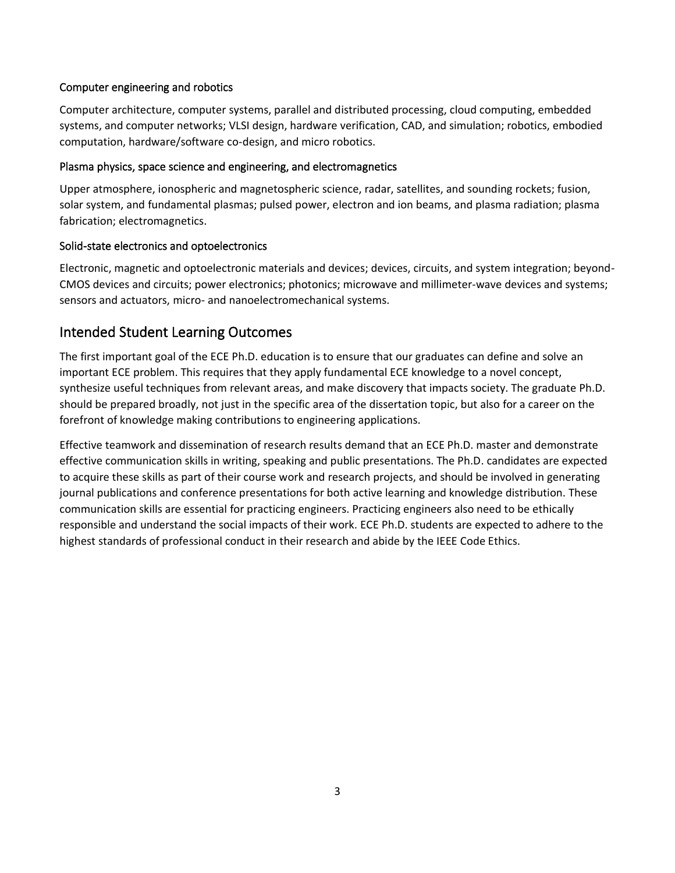#### Computer engineering and robotics

Computer architecture, computer systems, parallel and distributed processing, cloud computing, embedded systems, and computer networks; VLSI design, hardware verification, CAD, and simulation; robotics, embodied computation, hardware/software co-design, and micro robotics.

#### Plasma physics, space science and engineering, and electromagnetics

Upper atmosphere, ionospheric and magnetospheric science, radar, satellites, and sounding rockets; fusion, solar system, and fundamental plasmas; pulsed power, electron and ion beams, and plasma radiation; plasma fabrication; electromagnetics.

#### Solid-state electronics and optoelectronics

Electronic, magnetic and optoelectronic materials and devices; devices, circuits, and system integration; beyond-CMOS devices and circuits; power electronics; photonics; microwave and millimeter-wave devices and systems; sensors and actuators, micro- and nanoelectromechanical systems.

### Intended Student Learning Outcomes

The first important goal of the ECE Ph.D. education is to ensure that our graduates can define and solve an important ECE problem. This requires that they apply fundamental ECE knowledge to a novel concept, synthesize useful techniques from relevant areas, and make discovery that impacts society. The graduate Ph.D. should be prepared broadly, not just in the specific area of the dissertation topic, but also for a career on the forefront of knowledge making contributions to engineering applications.

Effective teamwork and dissemination of research results demand that an ECE Ph.D. master and demonstrate effective communication skills in writing, speaking and public presentations. The Ph.D. candidates are expected to acquire these skills as part of their course work and research projects, and should be involved in generating journal publications and conference presentations for both active learning and knowledge distribution. These communication skills are essential for practicing engineers. Practicing engineers also need to be ethically responsible and understand the social impacts of their work. ECE Ph.D. students are expected to adhere to the highest standards of professional conduct in their research and abide by the IEEE Code Ethics.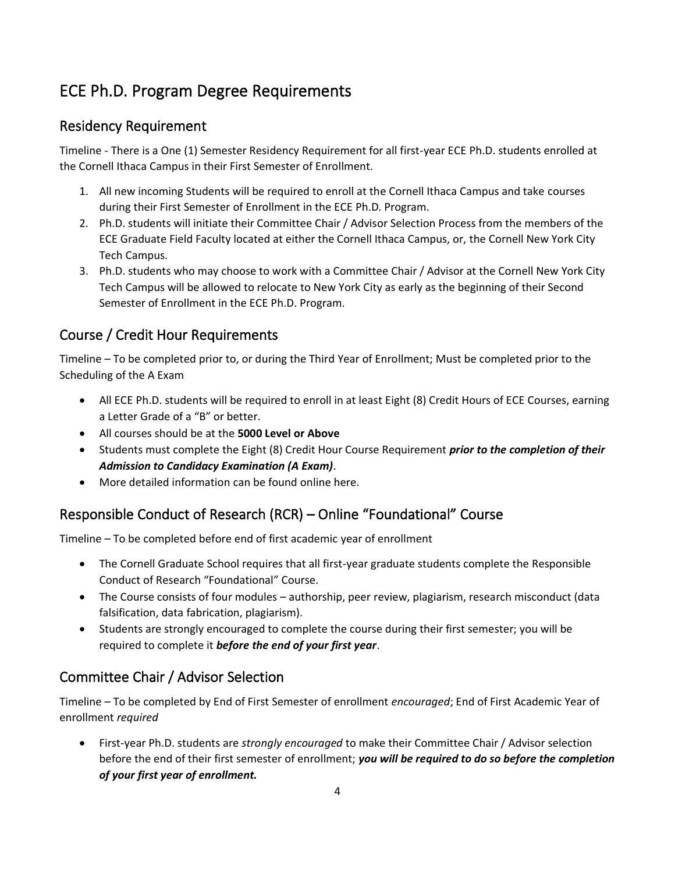# ECE Ph.D. Program Degree Requirements

### Residency Requirement

Timeline - There is a One (1) Semester Residency Requirement for all first-year ECE Ph.D. students enrolled at the Cornell Ithaca Campus in their First Semester of Enrollment.

- 1. All new incoming Students will be required to enroll at the Cornell Ithaca Campus and take courses during their First Semester of Enrollment in the ECE Ph.D. Program.
- 2. Ph.D. students will initiate their Committee Chair / Advisor Selection Process from the members of the ECE Graduate Field Faculty located at either the Cornell Ithaca Campus, or, the Cornell New York City Tech Campus.
- 3. Ph.D. students who may choose to work with a Committee Chair / Advisor at the Cornell New York City Tech Campus will be allowed to relocate to New York City as early as the beginning of their Second Semester of Enrollment in the ECE Ph.D. Program.

### Course / Credit Hour Requirements

Timeline – To be completed prior to, or during the Third Year of Enrollment; Must be completed prior to the Scheduling of the A Exam

- All ECE Ph.D. students will be required to enroll in at least Eight (8) Credit Hours of ECE Courses, earning a Letter Grade of a "B" or better.
- All courses should be at the **5000 Level or Above**
- Students must complete the Eight (8) Credit Hour Course Requirement *prior to the completion of their Admission to Candidacy Examination (A Exam)*.
- More detailed information can be found online here.

# Responsible Conduct of Research (RCR) – Online "Foundational" Course

Timeline – To be completed before end of first academic year of enrollment

- The Cornell Graduate School requires that all first-year graduate students complete the Responsible Conduct of Research "Foundational" Course.
- The Course consists of four modules authorship, peer review, plagiarism, research misconduct (data falsification, data fabrication, plagiarism).
- Students are strongly encouraged to complete the course during their first semester; you will be required to complete it *before the end of your first year*.

### Committee Chair / Advisor Selection

Timeline – To be completed by End of First Semester of enrollment *encouraged*; End of First Academic Year of enrollment *required*

• First-year Ph.D. students are *strongly encouraged* to make their Committee Chair / Advisor selection before the end of their first semester of enrollment; *you will be required to do so before the completion of your first year of enrollment.*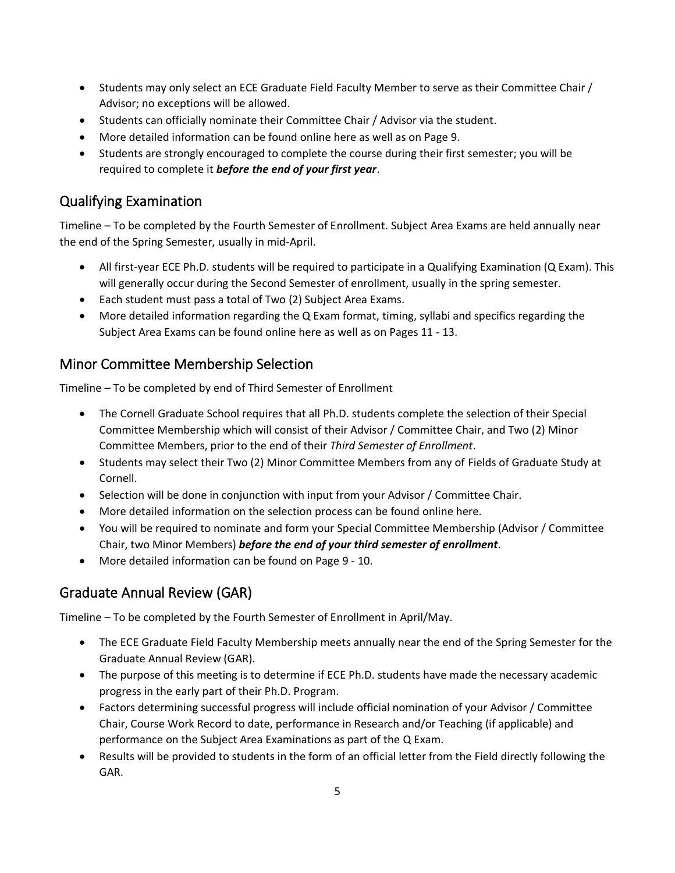- <span id="page-4-0"></span>• Students may only select an [ECE Graduate Field Faculty Member](https://www.ece.cornell.edu/ece/faculty-directory) to serve as their Committee Chair / Advisor; no exceptions will be allowed.
- Students can officially nominate their Committee Chair / Advisor via the student.
- More detailed information can be found [online here](https://www.ece.cornell.edu/ece/programs/graduate-programs/phd-program/phd-advisorcommittee-chair-and-special-committee-minor) as well as on Page 9.
- Students are strongly encouraged to complete the course during their first semester; you will be required to complete it *before the end of your first year*.

## Qualifying Examination

Timeline – To be completed by the Fourth Semester of Enrollment. Subject Area Exams are held annually near the end of the Spring Semester, usually in mid-April.

- All first-year ECE Ph.D. students will be required to participate in a Qualifying Examination (Q Exam). This will generally occur during the Second Semester of enrollment, usually in the spring semester.
- Each student must pass a total of Two (2) Subject Area Exams.
- More detailed information regarding the Q Exam format, timing, syllabi and specifics regarding the Subject Area Exams can be found [online here](https://www.ece.cornell.edu/ece/programs/graduate-programs/phd-program/phd-examinations/qualifying-examination-q-exam) as well as on Pages 11 - 13.

### Minor Committee Membership Selection

Timeline – To be completed by end of Third Semester of Enrollment

- The Cornell Graduate School requires that all Ph.D. students complete the selection of their Special Committee Membership which will consist of their Advisor / Committee Chair, and Two (2) Minor Committee Members, prior to the end of their *Third Semester of Enrollment*.
- Students may select their Two (2) Minor Committee Members from any of [Fields of Graduate Study at](https://gradschool.cornell.edu/academics/fields-of-study/fields) Cornell.
- Selection will be done in conjunction with input from your Advisor / Committee Chair.
- More detailed information on the selection process can be found [online here.](https://www.ece.cornell.edu/ece/programs/graduate-programs/phd-program/phd-advisorcommittee-chair-and-special-committee-minor)
- You will be required to nominate and form your Special Committee Membership (Advisor / Committee Chair, two Minor Members) *before the end of your third semester of enrollment*.
- More detailed information can be found on Page 9 10.

# Graduate Annual Review (GAR)

Timeline – To be completed by the Fourth Semester of Enrollment in April/May.

- The ECE Graduate Field Faculty Membership meets annually near the end of the Spring Semester for the Graduate Annual Review (GAR).
- The purpose of this meeting is to determine if ECE Ph.D. students have made the necessary academic progress in the early part of their Ph.D. Program.
- Factors determining successful progress will include official nomination of your Advisor / Committee Chair, Course Work Record to date, performance in Research and/or Teaching (if applicable) and performance on the Subject Area Examinations as part of the Q Exam.
- Results will be provided to students in the form of an official letter from the Field directly following the GAR.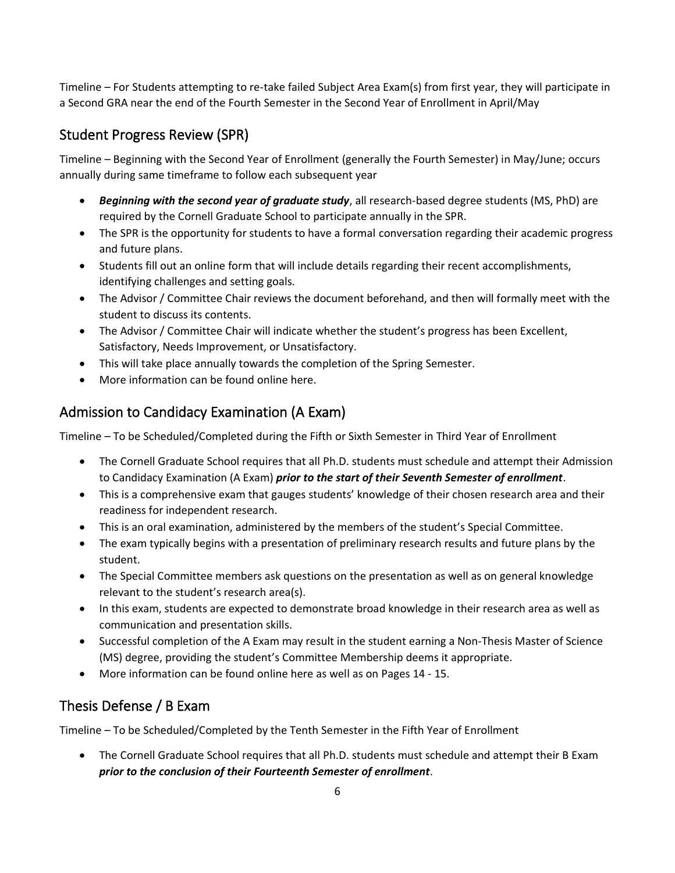Timeline – For Students attempting to re-take failed Subject Area Exam(s) from first year, they will participate in a Second GRA near the end of the Fourth Semester in the Second Year of Enrollment in April/May

### Student Progress Review (SPR)

Timeline – Beginning with the Second Year of Enrollment (generally the Fourth Semester) in May/June; occurs annually during same timeframe to follow each subsequent year

- *Beginning with the second year of graduate study*, all research-based degree students (MS, PhD) are required by the Cornell Graduate School to participate annually in the SPR.
- The SPR is the opportunity for students to have a formal conversation regarding their academic progress and future plans.
- Students fill out an online form that will include details regarding their recent accomplishments, identifying challenges and setting goals.
- The Advisor / Committee Chair reviews the document beforehand, and then will formally meet with the student to discuss its contents.
- The Advisor / Committee Chair will indicate whether the student's progress has been Excellent, Satisfactory, Needs Improvement, or Unsatisfactory.
- This will take place annually towards the completion of the Spring Semester.
- More information can be found [online here](https://test-graduate-school.pantheonsite.io/academic-progress/requirements-milestones/student-progress-review/).

## Admission to Candidacy Examination (A Exam)

Timeline – To be Scheduled/Completed during the Fifth or Sixth Semester in Third Year of Enrollment

- The Cornell Graduate School requires that all Ph.D. students must schedule and attempt their Admission to Candidacy Examination (A Exam) *prior to the start of their Seventh Semester of enrollment*.
- This is a comprehensive exam that gauges students' knowledge of their chosen research area and their readiness for independent research.
- This is an oral examination, administered by the members of the student's Special Committee.
- The exam typically begins with a presentation of preliminary research results and future plans by the student.
- The Special Committee members ask questions on the presentation as well as on general knowledge relevant to the student's research area(s).
- In this exam, students are expected to demonstrate broad knowledge in their research area as well as communication and presentation skills.
- Successful completion of the A Exam may result in the student earning a Non-Thesis Master of Science (MS) degree, providing the student's Committee Membership deems it appropriate.
- More information can be found [online here](https://www.ece.cornell.edu/ece/programs/graduate-programs/phd-program/phd-examinations/admission-candidacy-examination-exam) as well as on Pages 14 15.

# Thesis Defense / B Exam

Timeline – To be Scheduled/Completed by the Tenth Semester in the Fifth Year of Enrollment

• The Cornell Graduate School requires that all Ph.D. students must schedule and attempt their B Exam *prior to the conclusion of their Fourteenth Semester of enrollment*.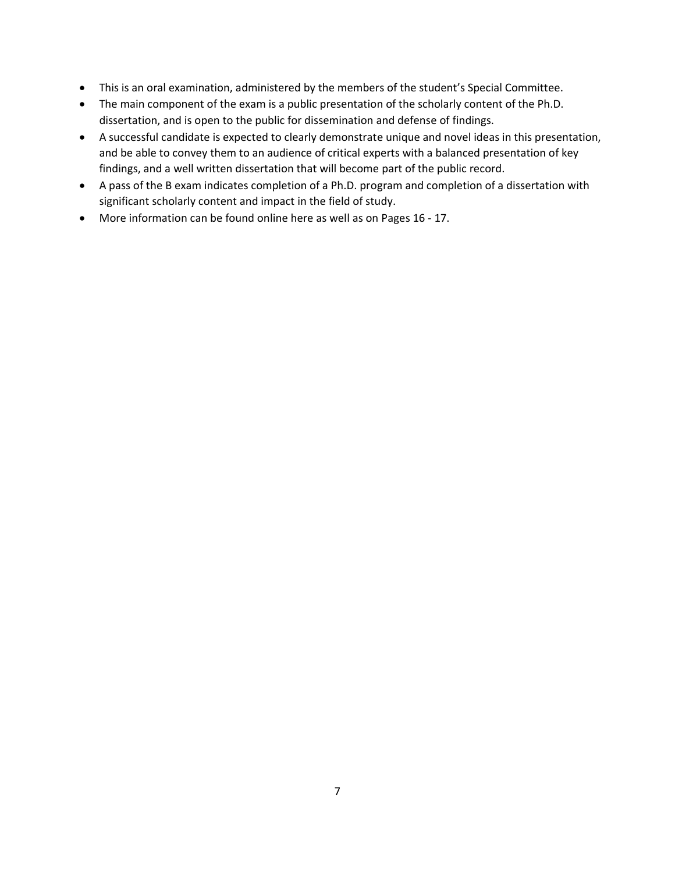- This is an oral examination, administered by the members of the student's Special Committee.
- The main component of the exam is a public presentation of the scholarly content of the Ph.D. dissertation, and is open to the public for dissemination and defense of findings.
- A successful candidate is expected to clearly demonstrate unique and novel ideas in this presentation, and be able to convey them to an audience of critical experts with a balanced presentation of key findings, and a well written dissertation that will become part of the public record.
- A pass of the B exam indicates completion of a Ph.D. program and completion of a dissertation with significant scholarly content and impact in the field of study.
- More information can be found [online here](https://www.ece.cornell.edu/ece/programs/graduate-programs/phd-program/phd-examinations/phd-thesis-defense-b-exam) as well as on Pages 16 17.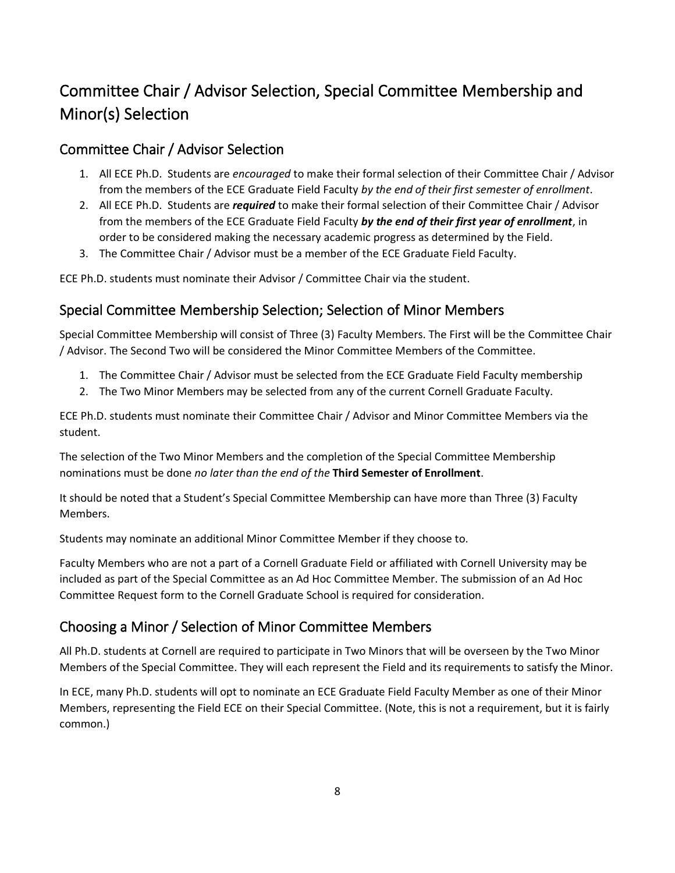# Committee Chair / Advisor Selection, Special Committee Membership and Minor(s) Selection

### Committee Chair / Advisor Selection

- 1. All ECE Ph.D. Students are *encouraged* to make their formal selection of their Committee Chair / Advisor from the members of the ECE Graduate Field Faculty *by the end of their first semester of enrollment*.
- 2. All ECE Ph.D. Students are *required* to make their formal selection of their Committee Chair / Advisor from the members of the ECE Graduate Field Faculty *by the end of their first year of enrollment*, in order to be considered making the necessary academic progress as determined by the Field.
- 3. The Committee Chair / Advisor must be a member of the ECE Graduate Field Faculty.

ECE Ph.D. students must nominate their Advisor / Committee Chair via the student.

### Special Committee Membership Selection; Selection of Minor Members

Special Committee Membership will consist of Three (3) Faculty Members. The First will be the Committee Chair / Advisor. The Second Two will be considered the Minor Committee Members of the Committee.

- 1. The Committee Chair / Advisor must be selected from the ECE Graduate Field Faculty membership
- 2. The Two Minor Members may be selected from any of the current Cornell Graduate Faculty.

ECE Ph.D. students must nominate their Committee Chair / Advisor and Minor Committee Members via the student.

The selection of the Two Minor Members and the completion of the Special Committee Membership nominations must be done *no later than the end of the* **Third Semester of Enrollment**.

It should be noted that a Student's Special Committee Membership can have more than Three (3) Faculty Members.

Students may nominate an additional Minor Committee Member if they choose to.

Faculty Members who are not a part of a Cornell Graduate Field or affiliated with Cornell University may be included as part of the Special Committee as an Ad Hoc Committee Member. The submission of an [Ad Hoc](https://gradschool.cornell.edu/wp-content/uploads/2020/01/Ad-Hoc-Committee-Member-Request-VD.pdf)  Committee Request form to the Cornell Graduate School is required for consideration.

### Choosing a Minor / Selection of Minor Committee Members

All Ph.D. students at Cornell are required to participate in Two Minors that will be overseen by the Two Minor Members of the Special Committee. They will each represent the Field and its requirements to satisfy the Minor.

In ECE, many Ph.D. students will opt to nominate an ECE Graduate Field Faculty Member as one of their Minor Members, representing the Field ECE on their Special Committee. (Note, this is not a requirement, but it is fairly common.)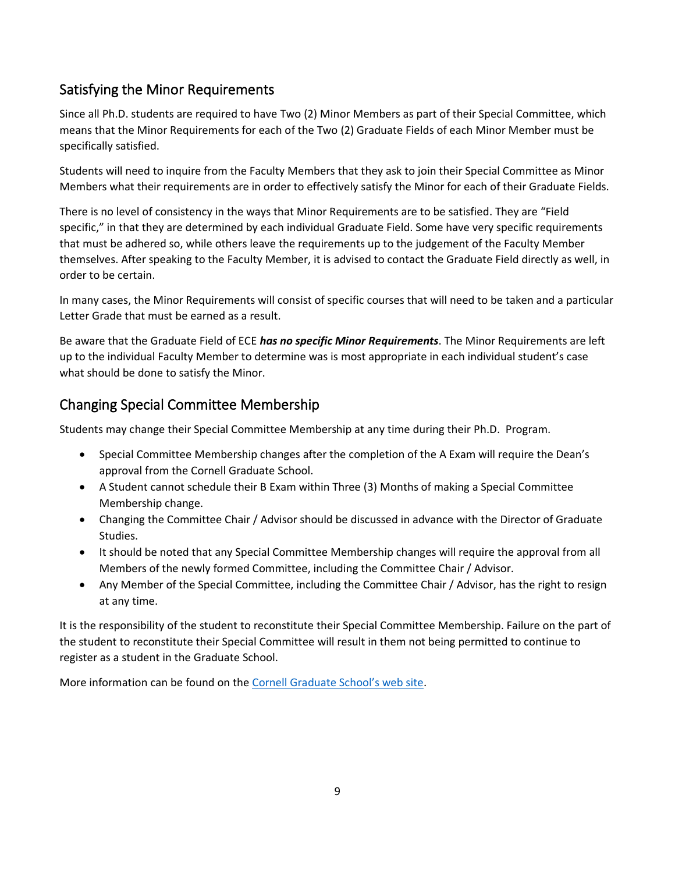# <span id="page-8-0"></span>Satisfying the Minor Requirements

Since all Ph.D. students are required to have Two (2) Minor Members as part of their Special Committee, which means that the Minor Requirements for each of the Two (2) Graduate Fields of each Minor Member must be specifically satisfied.

Students will need to inquire from the Faculty Members that they ask to join their Special Committee as Minor Members what their requirements are in order to effectively satisfy the Minor for each of their Graduate Fields.

There is no level of consistency in the ways that Minor Requirements are to be satisfied. They are "Field specific," in that they are determined by each individual Graduate Field. Some have very specific requirements that must be adhered so, while others leave the requirements up to the judgement of the Faculty Member themselves. After speaking to the Faculty Member, it is advised to contact the Graduate Field directly as well, in order to be certain.

In many cases, the Minor Requirements will consist of specific courses that will need to be taken and a particular Letter Grade that must be earned as a result.

Be aware that the Graduate Field of ECE *has no specific Minor Requirements*. The Minor Requirements are left up to the individual Faculty Member to determine was is most appropriate in each individual student's case what should be done to satisfy the Minor.

# Changing Special Committee Membership

Students may change their Special Committee Membership at any time during their Ph.D. Program.

- Special Committee Membership changes after the completion of the A Exam will require the Dean's approval from the Cornell Graduate School.
- A Student cannot schedule their B Exam within Three (3) Months of making a Special Committee Membership change.
- Changing the Committee Chair / Advisor should be discussed in advance with the Director of Graduate Studies.
- It should be noted that any Special Committee Membership changes will require the approval from all Members of the newly formed Committee, including the Committee Chair / Advisor.
- Any Member of the Special Committee, including the Committee Chair / Advisor, has the right to resign at any time.

It is the responsibility of the student to reconstitute their Special Committee Membership. Failure on the part of the student to reconstitute their Special Committee will result in them not being permitted to continue to register as a student in the Graduate School.

More information can be found on the [Cornell Graduate School's web site](https://gradschool.cornell.edu/academic-progress/requirements-milestones/special-committees/changing-your-committee/).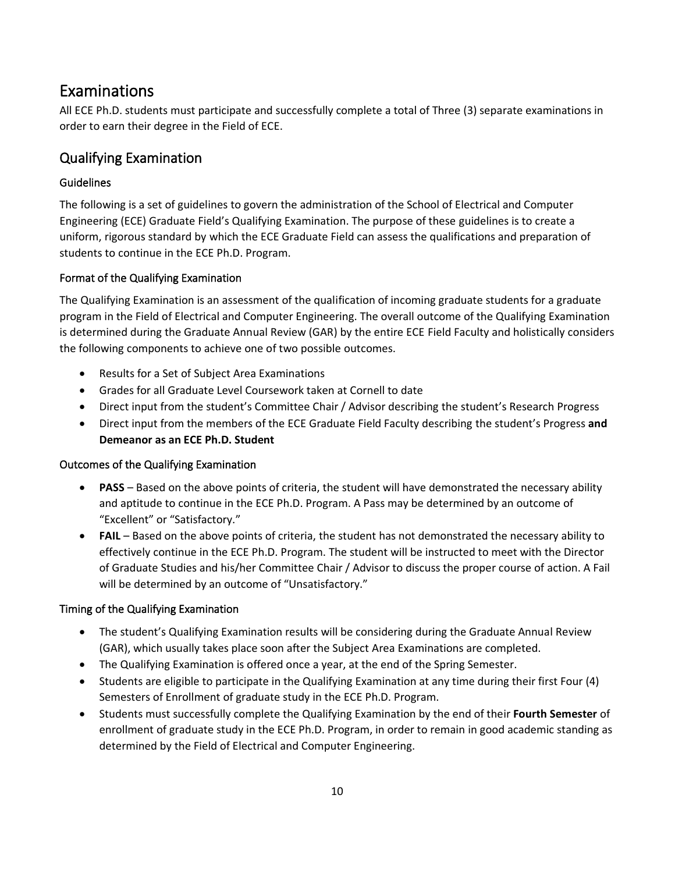# Examinations

All ECE Ph.D. students must participate and successfully complete a total of Three (3) separate examinations in order to earn their degree in the Field of ECE.

### Qualifying Examination

### Guidelines

The following is a set of guidelines to govern the administration of the School of Electrical and Computer Engineering (ECE) Graduate Field's Qualifying Examination. The purpose of these guidelines is to create a uniform, rigorous standard by which the ECE Graduate Field can assess the qualifications and preparation of students to continue in the ECE Ph.D. Program.

### Format of the Qualifying Examination

The Qualifying Examination is an assessment of the qualification of incoming graduate students for a graduate program in the Field of Electrical and Computer Engineering. The overall outcome of the Qualifying Examination is determined during the Graduate Annual Review (GAR) by the entire ECE Field Faculty and holistically considers the following components to achieve one of two possible outcomes.

- Results for a Set of Subject Area Examinations
- Grades for all Graduate Level Coursework taken at Cornell to date
- Direct input from the student's Committee Chair / Advisor describing the student's Research Progress
- Direct input from the members of the ECE Graduate Field Faculty describing the student's Progress **and Demeanor as an ECE Ph.D. Student**

### Outcomes of the Qualifying Examination

- **PASS** Based on the above points of criteria, the student will have demonstrated the necessary ability and aptitude to continue in the ECE Ph.D. Program. A Pass may be determined by an outcome of "Excellent" or "Satisfactory."
- **FAIL** Based on the above points of criteria, the student has not demonstrated the necessary ability to effectively continue in the ECE Ph.D. Program. The student will be instructed to meet with the Director of Graduate Studies and his/her Committee Chair / Advisor to discuss the proper course of action. A Fail will be determined by an outcome of "Unsatisfactory."

### Timing of the Qualifying Examination

- The student's Qualifying Examination results will be considering during the Graduate Annual Review (GAR), which usually takes place soon after the Subject Area Examinations are completed.
- The Qualifying Examination is offered once a year, at the end of the Spring Semester.
- Students are eligible to participate in the Qualifying Examination at any time during their first Four (4) Semesters of Enrollment of graduate study in the ECE Ph.D. Program.
- Students must successfully complete the Qualifying Examination by the end of their **Fourth Semester** of enrollment of graduate study in the ECE Ph.D. Program, in order to remain in good academic standing as determined by the Field of Electrical and Computer Engineering.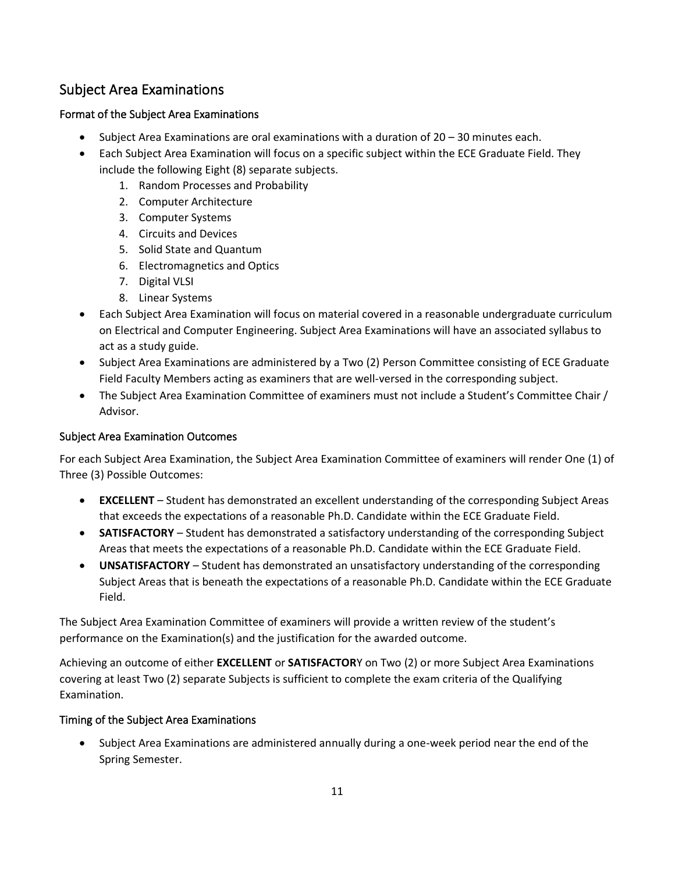# Subject Area Examinations

### Format of the Subject Area Examinations

- Subject Area Examinations are oral examinations with a duration of 20 30 minutes each.
- Each Subject Area Examination will focus on a specific subject within the ECE Graduate Field. They include the following Eight (8) separate subjects.
	- 1. Random Processes and Probability
	- 2. Computer Architecture
	- 3. Computer Systems
	- 4. Circuits and Devices
	- 5. Solid State and Quantum
	- 6. Electromagnetics and Optics
	- 7. Digital VLSI
	- 8. Linear Systems
- Each Subject Area Examination will focus on material covered in a reasonable undergraduate curriculum on Electrical and Computer Engineering. Subject Area Examinations will have an associated syllabus to act as a study guide.
- Subject Area Examinations are administered by a Two (2) Person Committee consisting of ECE Graduate Field Faculty Members acting as examiners that are well-versed in the corresponding subject.
- The Subject Area Examination Committee of examiners must not include a Student's Committee Chair / Advisor.

#### Subject Area Examination Outcomes

For each Subject Area Examination, the Subject Area Examination Committee of examiners will render One (1) of Three (3) Possible Outcomes:

- **EXCELLENT**  Student has demonstrated an excellent understanding of the corresponding Subject Areas that exceeds the expectations of a reasonable Ph.D. Candidate within the ECE Graduate Field.
- **SATISFACTORY** Student has demonstrated a satisfactory understanding of the corresponding Subject Areas that meets the expectations of a reasonable Ph.D. Candidate within the ECE Graduate Field.
- **UNSATISFACTORY**  Student has demonstrated an unsatisfactory understanding of the corresponding Subject Areas that is beneath the expectations of a reasonable Ph.D. Candidate within the ECE Graduate Field.

The Subject Area Examination Committee of examiners will provide a written review of the student's performance on the Examination(s) and the justification for the awarded outcome.

Achieving an outcome of either **EXCELLENT** or **SATISFACTOR**Y on Two (2) or more Subject Area Examinations covering at least Two (2) separate Subjects is sufficient to complete the exam criteria of the Qualifying Examination.

#### Timing of the Subject Area Examinations

• Subject Area Examinations are administered annually during a one-week period near the end of the Spring Semester.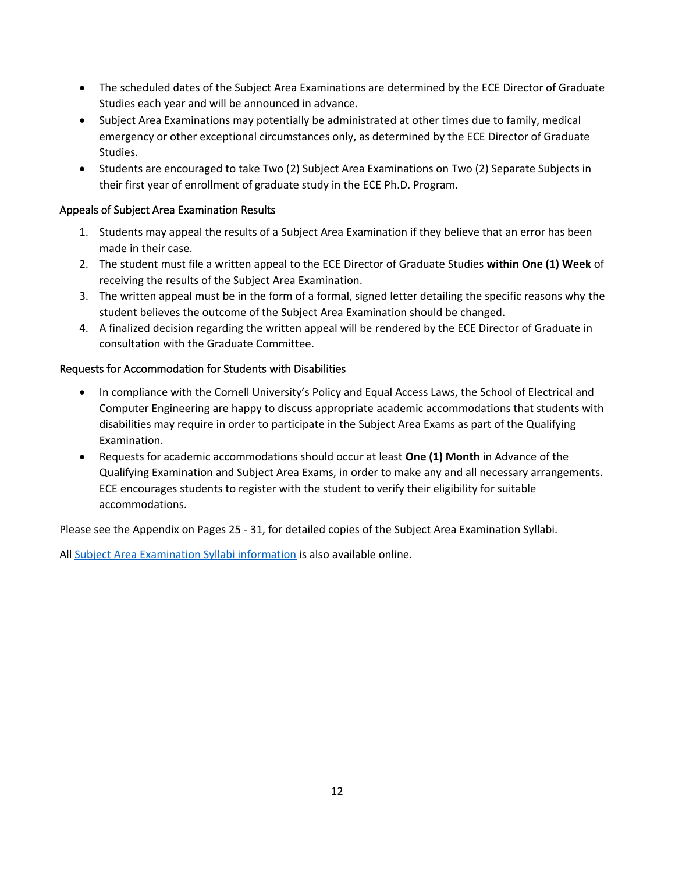- The scheduled dates of the Subject Area Examinations are determined by the ECE Director of Graduate Studies each year and will be announced in advance.
- Subject Area Examinations may potentially be administrated at other times due to family, medical emergency or other exceptional circumstances only, as determined by the ECE Director of Graduate Studies.
- Students are encouraged to take Two (2) Subject Area Examinations on Two (2) Separate Subjects in their first year of enrollment of graduate study in the ECE Ph.D. Program.

#### Appeals of Subject Area Examination Results

- 1. Students may appeal the results of a Subject Area Examination if they believe that an error has been made in their case.
- 2. The student must file a written appeal to the ECE Director of Graduate Studies **within One (1) Week** of receiving the results of the Subject Area Examination.
- 3. The written appeal must be in the form of a formal, signed letter detailing the specific reasons why the student believes the outcome of the Subject Area Examination should be changed.
- 4. A finalized decision regarding the written appeal will be rendered by the ECE Director of Graduate in consultation with the Graduate Committee.

#### Requests for Accommodation for Students with Disabilities

- In compliance with the [Cornell University's Policy and Equal Access Laws](https://hr.cornell.edu/our-culture-diversity/diversity-inclusion/equal-opportunity-and-affirmative-action), the School of Electrical and Computer Engineering are happy to discuss appropriate academic accommodations that students with disabilities may require in order to participate in the Subject Area Exams as part of the Qualifying Examination.
- Requests for academic accommodations should occur at least **One (1) Month** in Advance of the Qualifying Examination and Subject Area Exams, in order to make any and all necessary arrangements. ECE encourages students to register with the student to verify their eligibility for suitable accommodations.

Please see the Appendix on Pages 25 - 31, for detailed copies of the Subject Area Examination Syllabi.

All [Subject Area Examination Syllabi information](https://www.ece.cornell.edu/ece/programs/graduate-programs/phd-program/phd-examinations/qualifying-examination-q-exam) is also available online.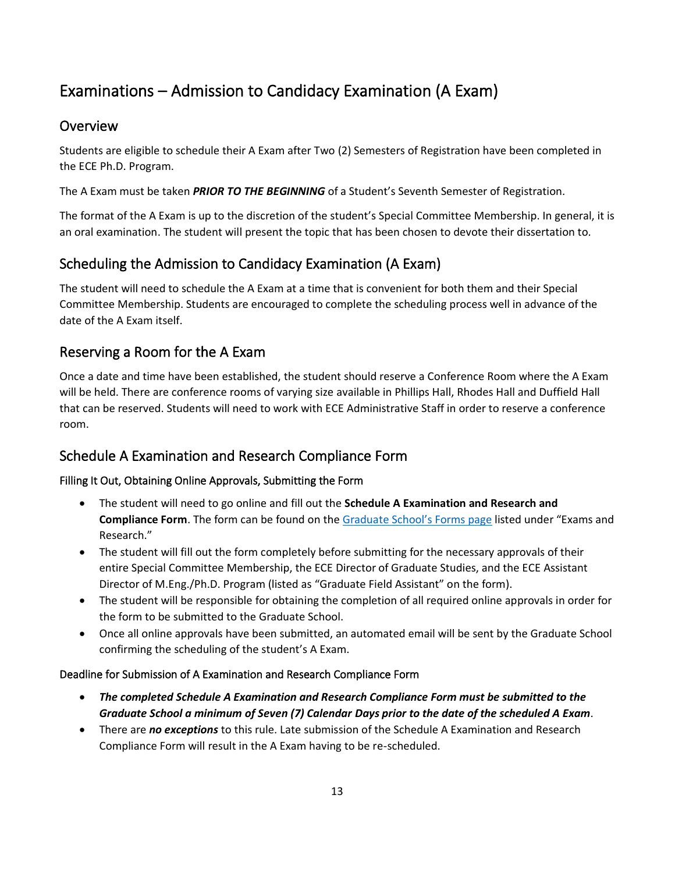# Examinations – Admission to Candidacy Examination (A Exam)

### **Overview**

Students are eligible to schedule their A Exam after Two (2) Semesters of Registration have been completed in the ECE Ph.D. Program.

The A Exam must be taken *PRIOR TO THE BEGINNING* of a Student's Seventh Semester of Registration.

The format of the A Exam is up to the discretion of the student's Special Committee Membership. In general, it is an oral examination. The student will present the topic that has been chosen to devote their dissertation to.

# Scheduling the Admission to Candidacy Examination (A Exam)

The student will need to schedule the A Exam at a time that is convenient for both them and their Special Committee Membership. Students are encouraged to complete the scheduling process well in advance of the date of the A Exam itself.

### Reserving a Room for the A Exam

Once a date and time have been established, the student should reserve a Conference Room where the A Exam will be held. There are conference rooms of varying size available in Phillips Hall, Rhodes Hall and Duffield Hall that can be reserved. Students will need to work with ECE Administrative Staff in order to reserve a conference room.

# Schedule A Examination and Research Compliance Form

### Filling It Out, Obtaining Online Approvals, Submitting the Form

- The student will need to go online and fill out the **Schedule A Examination and Research and Compliance Form**. The form can be found on the [Graduate School's Forms](https://gradschool.cornell.edu/forms/) page listed under "Exams and Research."
- The student will fill out the form completely before submitting for the necessary approvals of their entire Special Committee Membership, the ECE Director of Graduate Studies, and the ECE Assistant Director of M.Eng./Ph.D. Program (listed as "Graduate Field Assistant" on the form).
- The student will be responsible for obtaining the completion of all required online approvals in order for the form to be submitted to the Graduate School.
- Once all online approvals have been submitted, an automated email will be sent by the Graduate School confirming the scheduling of the student's A Exam.

### Deadline for Submission of A Examination and Research Compliance Form

- *The completed Schedule A Examination and Research Compliance Form must be submitted to the Graduate School a minimum of Seven (7) Calendar Days prior to the date of the scheduled A Exam*.
- There are *no exceptions* to this rule. Late submission of the Schedule A Examination and Research Compliance Form will result in the A Exam having to be re-scheduled.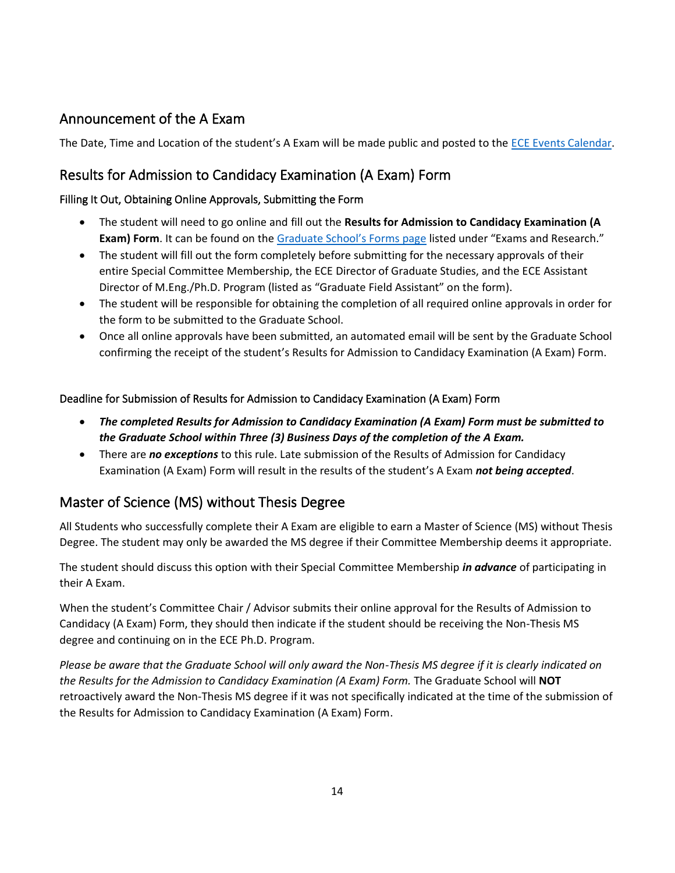## Announcement of the A Exam

The Date, Time and Location of the student's A Exam will be made public and posted to the [ECE Events Calendar.](https://www.ece.cornell.edu/ece/events)

### Results for Admission to Candidacy Examination (A Exam) Form

#### Filling It Out, Obtaining Online Approvals, Submitting the Form

- The student will need to go online and fill out the **Results for Admission to Candidacy Examination (A Exam) Form**. It can be found on the [Graduate School's Forms](https://gradschool.cornell.edu/forms/) page listed under "Exams and Research."
- The student will fill out the form completely before submitting for the necessary approvals of their entire Special Committee Membership, the ECE Director of Graduate Studies, and the ECE Assistant Director of M.Eng./Ph.D. Program (listed as "Graduate Field Assistant" on the form).
- The student will be responsible for obtaining the completion of all required online approvals in order for the form to be submitted to the Graduate School.
- Once all online approvals have been submitted, an automated email will be sent by the Graduate School confirming the receipt of the student's Results for Admission to Candidacy Examination (A Exam) Form.

#### Deadline for Submission of Results for Admission to Candidacy Examination (A Exam) Form

- *The completed Results for Admission to Candidacy Examination (A Exam) Form must be submitted to the Graduate School within Three (3) Business Days of the completion of the A Exam.*
- There are *no exceptions* to this rule. Late submission of the Results of Admission for Candidacy Examination (A Exam) Form will result in the results of the student's A Exam *not being accepted*.

### Master of Science (MS) without Thesis Degree

All Students who successfully complete their A Exam are eligible to earn a Master of Science (MS) without Thesis Degree. The student may only be awarded the MS degree if their Committee Membership deems it appropriate.

The student should discuss this option with their Special Committee Membership *in advance* of participating in their A Exam.

When the student's Committee Chair / Advisor submits their online approval for the Results of Admission to Candidacy (A Exam) Form, they should then indicate if the student should be receiving the Non-Thesis MS degree and continuing on in the ECE Ph.D. Program.

*Please be aware that the Graduate School will only award the Non-Thesis MS degree if it is clearly indicated on the Results for the Admission to Candidacy Examination (A Exam) Form.* The Graduate School will **NOT** retroactively award the Non-Thesis MS degree if it was not specifically indicated at the time of the submission of the Results for Admission to Candidacy Examination (A Exam) Form.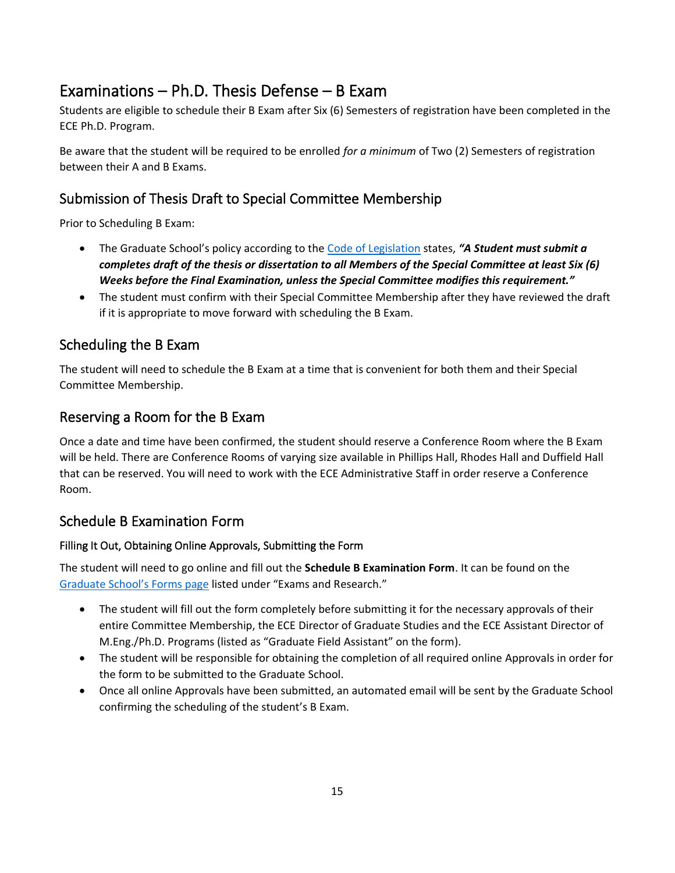# Examinations – Ph.D. Thesis Defense – B Exam

Students are eligible to schedule their B Exam after Six (6) Semesters of registration have been completed in the ECE Ph.D. Program.

Be aware that the student will be required to be enrolled *for a minimum* of Two (2) Semesters of registration between their A and B Exams.

# Submission of Thesis Draft to Special Committee Membership

Prior to Scheduling B Exam:

- The Graduate School's policy according to the [Code of Legislation](https://gradschool.cornell.edu/policies/code-of-legislation/) states, *"A Student must submit a completes draft of the thesis or dissertation to all Members of the Special Committee at least Six (6) Weeks before the Final Examination, unless the Special Committee modifies this requirement."*
- The student must confirm with their Special Committee Membership after they have reviewed the draft if it is appropriate to move forward with scheduling the B Exam.

## Scheduling the B Exam

The student will need to schedule the B Exam at a time that is convenient for both them and their Special Committee Membership.

### Reserving a Room for the B Exam

Once a date and time have been confirmed, the student should reserve a Conference Room where the B Exam will be held. There are Conference Rooms of varying size available in Phillips Hall, Rhodes Hall and Duffield Hall that can be reserved. You will need to work with the ECE Administrative Staff in order reserve a Conference Room.

### Schedule B Examination Form

### Filling It Out, Obtaining Online Approvals, Submitting the Form

The student will need to go online and fill out the **Schedule B Examination Form**. It can be found on the [Graduate School's Forms](https://gradschool.cornell.edu/forms)) page listed under "Exams and Research."

- The student will fill out the form completely before submitting it for the necessary approvals of their entire Committee Membership, the ECE Director of Graduate Studies and the ECE Assistant Director of M.Eng./Ph.D. Programs (listed as "Graduate Field Assistant" on the form).
- The student will be responsible for obtaining the completion of all required online Approvals in order for the form to be submitted to the Graduate School.
- Once all online Approvals have been submitted, an automated email will be sent by the Graduate School confirming the scheduling of the student's B Exam.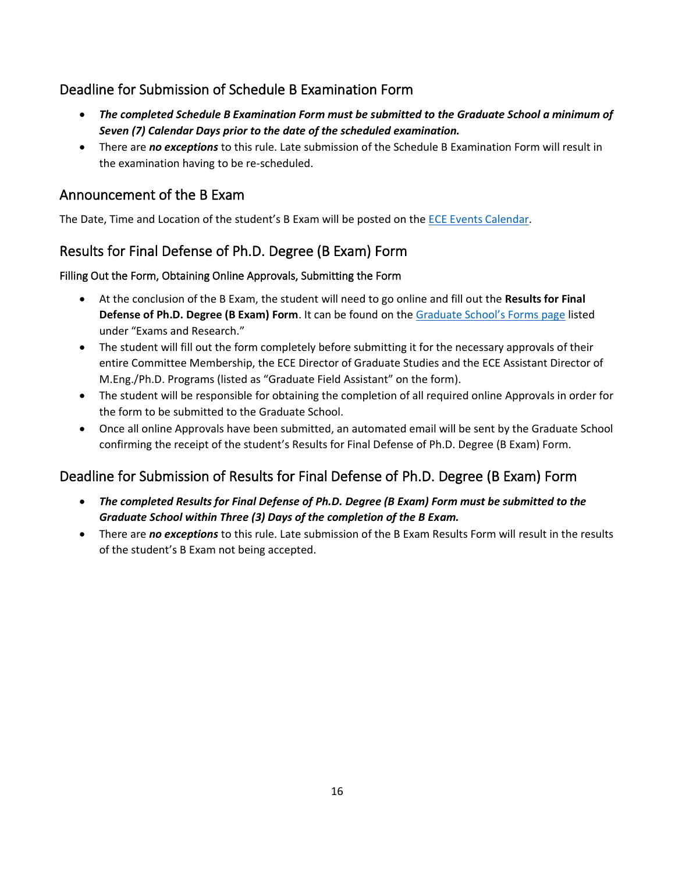### Deadline for Submission of Schedule B Examination Form

- *The completed Schedule B Examination Form must be submitted to the Graduate School a minimum of Seven (7) Calendar Days prior to the date of the scheduled examination.*
- There are *no exceptions* to this rule. Late submission of the Schedule B Examination Form will result in the examination having to be re-scheduled.

### Announcement of the B Exam

The Date, Time and Location of the student's B Exam will be posted on the [ECE Events Calendar.](http://www.ece.cornell.edu/ece/news/events.cfm)

# Results for Final Defense of Ph.D. Degree (B Exam) Form

### Filling Out the Form, Obtaining Online Approvals, Submitting the Form

- At the conclusion of the B Exam, the student will need to go online and fill out the **Results for Final Defense of Ph.D. Degree (B Exam) Form**. It can be found on the [Graduate School's Forms](https://gradschool.cornell.edu/forms) page listed under "Exams and Research."
- The student will fill out the form completely before submitting it for the necessary approvals of their entire Committee Membership, the ECE Director of Graduate Studies and the ECE Assistant Director of M.Eng./Ph.D. Programs (listed as "Graduate Field Assistant" on the form).
- The student will be responsible for obtaining the completion of all required online Approvals in order for the form to be submitted to the Graduate School.
- Once all online Approvals have been submitted, an automated email will be sent by the Graduate School confirming the receipt of the student's Results for Final Defense of Ph.D. Degree (B Exam) Form.

# Deadline for Submission of Results for Final Defense of Ph.D. Degree (B Exam) Form

- *The completed Results for Final Defense of Ph.D. Degree (B Exam) Form must be submitted to the Graduate School within Three (3) Days of the completion of the B Exam.*
- There are *no exceptions* to this rule. Late submission of the B Exam Results Form will result in the results of the student's B Exam not being accepted.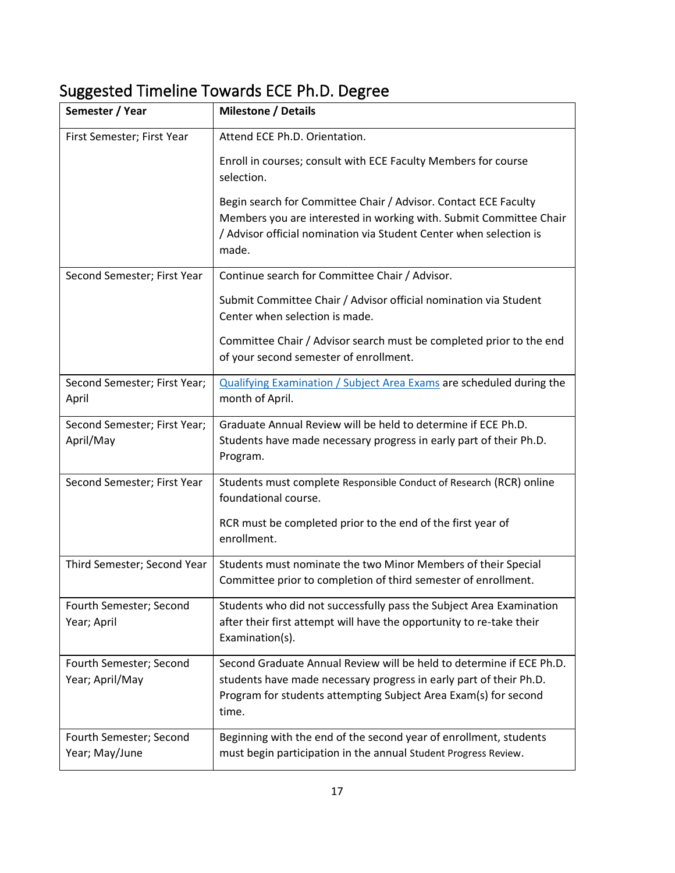# Suggested Timeline Towards ECE Ph.D. Degree

| Semester / Year                            | <b>Milestone / Details</b>                                                                                                                                                                                             |  |  |
|--------------------------------------------|------------------------------------------------------------------------------------------------------------------------------------------------------------------------------------------------------------------------|--|--|
| First Semester; First Year                 | Attend ECE Ph.D. Orientation.                                                                                                                                                                                          |  |  |
|                                            | Enroll in courses; consult with ECE Faculty Members for course<br>selection.                                                                                                                                           |  |  |
|                                            | Begin search for Committee Chair / Advisor. Contact ECE Faculty<br>Members you are interested in working with. Submit Committee Chair<br>/ Advisor official nomination via Student Center when selection is<br>made.   |  |  |
| Second Semester; First Year                | Continue search for Committee Chair / Advisor.                                                                                                                                                                         |  |  |
|                                            | Submit Committee Chair / Advisor official nomination via Student<br>Center when selection is made.                                                                                                                     |  |  |
|                                            | Committee Chair / Advisor search must be completed prior to the end<br>of your second semester of enrollment.                                                                                                          |  |  |
| Second Semester; First Year;<br>April      | Qualifying Examination / Subject Area Exams are scheduled during the<br>month of April.                                                                                                                                |  |  |
| Second Semester; First Year;<br>April/May  | Graduate Annual Review will be held to determine if ECE Ph.D.<br>Students have made necessary progress in early part of their Ph.D.<br>Program.                                                                        |  |  |
| Second Semester; First Year                | Students must complete Responsible Conduct of Research (RCR) online<br>foundational course.                                                                                                                            |  |  |
|                                            | RCR must be completed prior to the end of the first year of<br>enrollment.                                                                                                                                             |  |  |
| Third Semester; Second Year                | Students must nominate the two Minor Members of their Special<br>Committee prior to completion of third semester of enrollment.                                                                                        |  |  |
| Fourth Semester; Second<br>Year; April     | Students who did not successfully pass the Subject Area Examination<br>after their first attempt will have the opportunity to re-take their<br>Examination(s).                                                         |  |  |
| Fourth Semester; Second<br>Year; April/May | Second Graduate Annual Review will be held to determine if ECE Ph.D.<br>students have made necessary progress in early part of their Ph.D.<br>Program for students attempting Subject Area Exam(s) for second<br>time. |  |  |
| Fourth Semester; Second<br>Year; May/June  | Beginning with the end of the second year of enrollment, students<br>must begin participation in the annual Student Progress Review.                                                                                   |  |  |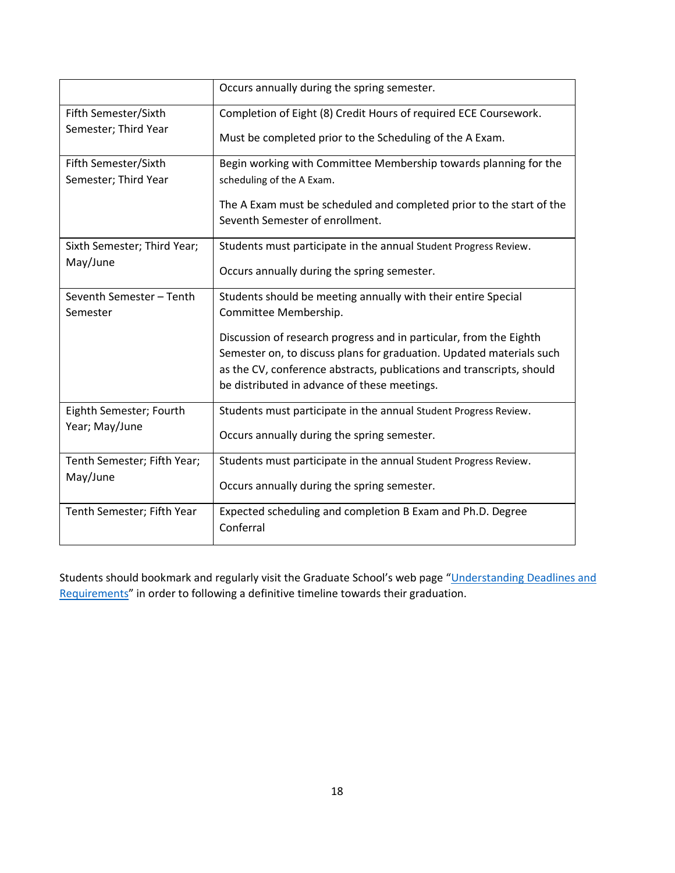|                             | Occurs annually during the spring semester.                                                                           |  |  |  |
|-----------------------------|-----------------------------------------------------------------------------------------------------------------------|--|--|--|
| Fifth Semester/Sixth        | Completion of Eight (8) Credit Hours of required ECE Coursework.                                                      |  |  |  |
| Semester; Third Year        | Must be completed prior to the Scheduling of the A Exam.                                                              |  |  |  |
| Fifth Semester/Sixth        | Begin working with Committee Membership towards planning for the                                                      |  |  |  |
| Semester; Third Year        | scheduling of the A Exam.                                                                                             |  |  |  |
|                             | The A Exam must be scheduled and completed prior to the start of the<br>Seventh Semester of enrollment.               |  |  |  |
| Sixth Semester; Third Year; | Students must participate in the annual Student Progress Review.                                                      |  |  |  |
| May/June                    | Occurs annually during the spring semester.                                                                           |  |  |  |
| Seventh Semester - Tenth    | Students should be meeting annually with their entire Special                                                         |  |  |  |
| Semester                    | Committee Membership.                                                                                                 |  |  |  |
|                             | Discussion of research progress and in particular, from the Eighth                                                    |  |  |  |
|                             | Semester on, to discuss plans for graduation. Updated materials such                                                  |  |  |  |
|                             | as the CV, conference abstracts, publications and transcripts, should<br>be distributed in advance of these meetings. |  |  |  |
| Eighth Semester; Fourth     | Students must participate in the annual Student Progress Review.                                                      |  |  |  |
| Year; May/June              | Occurs annually during the spring semester.                                                                           |  |  |  |
| Tenth Semester; Fifth Year; | Students must participate in the annual Student Progress Review.                                                      |  |  |  |
| May/June                    | Occurs annually during the spring semester.                                                                           |  |  |  |
| Tenth Semester; Fifth Year  | Expected scheduling and completion B Exam and Ph.D. Degree<br>Conferral                                               |  |  |  |

Students should bookmark and regularly visit the Graduate School's web page "[Understanding Deadlines and](https://gradschool.cornell.edu/academic-progress/thesis-dissertation/writing-your-thesis-dissertation/understanding-deadlines-and-requirements/)  Requirements" in order to following a definitive timeline towards their graduation.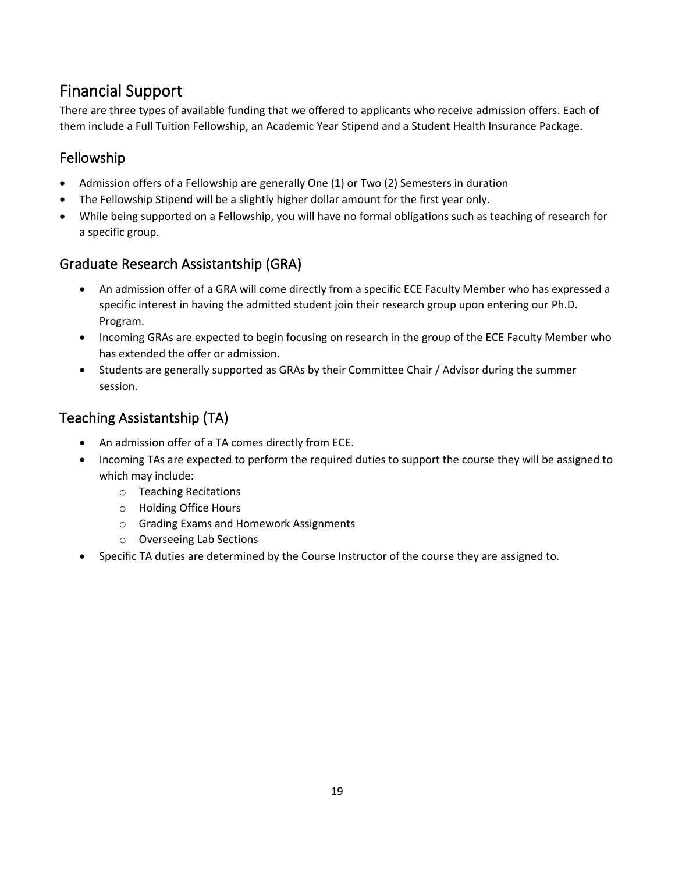# Financial Support

There are three types of available funding that we offered to applicants who receive admission offers. Each of them include a Full Tuition Fellowship, an Academic Year Stipend and a Student Health Insurance Package.

# Fellowship

- Admission offers of a Fellowship are generally One (1) or Two (2) Semesters in duration
- The Fellowship Stipend will be a slightly higher dollar amount for the first year only.
- While being supported on a Fellowship, you will have no formal obligations such as teaching of research for a specific group.

## Graduate Research Assistantship (GRA)

- An admission offer of a GRA will come directly from a specific ECE Faculty Member who has expressed a specific interest in having the admitted student join their research group upon entering our Ph.D. Program.
- Incoming GRAs are expected to begin focusing on research in the group of the ECE Faculty Member who has extended the offer or admission.
- Students are generally supported as GRAs by their Committee Chair / Advisor during the summer session.

# Teaching Assistantship (TA)

- An admission offer of a TA comes directly from ECE.
- Incoming TAs are expected to perform the required duties to support the course they will be assigned to which may include:
	- o Teaching Recitations
	- o Holding Office Hours
	- o Grading Exams and Homework Assignments
	- o Overseeing Lab Sections
- Specific TA duties are determined by the Course Instructor of the course they are assigned to.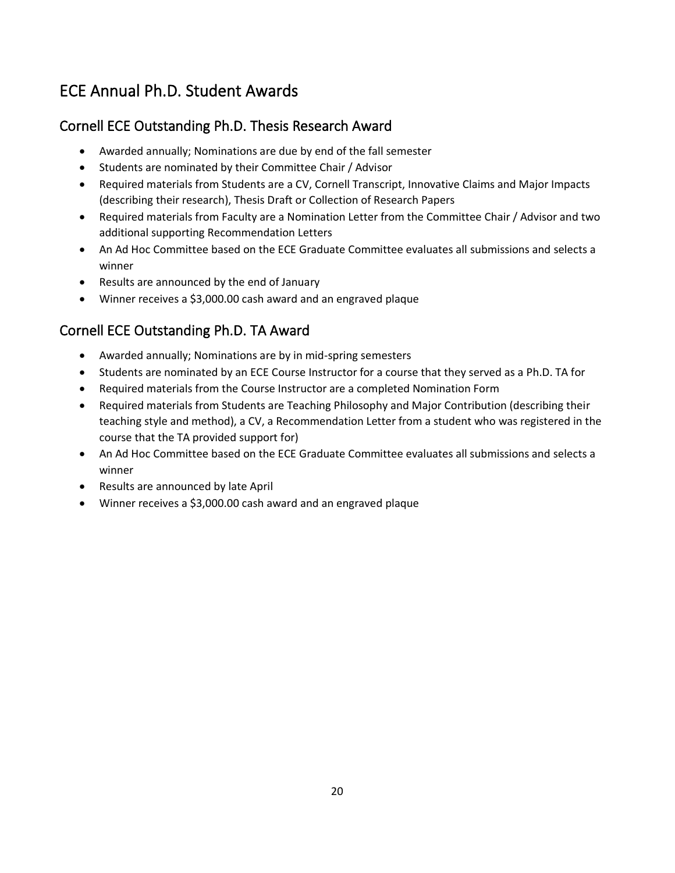# ECE Annual Ph.D. Student Awards

# Cornell ECE Outstanding Ph.D. Thesis Research Award

- Awarded annually; Nominations are due by end of the fall semester
- Students are nominated by their Committee Chair / Advisor
- Required materials from Students are a CV, Cornell Transcript, Innovative Claims and Major Impacts (describing their research), Thesis Draft or Collection of Research Papers
- Required materials from Faculty are a Nomination Letter from the Committee Chair / Advisor and two additional supporting Recommendation Letters
- An Ad Hoc Committee based on the ECE Graduate Committee evaluates all submissions and selects a winner
- Results are announced by the end of January
- Winner receives a \$3,000.00 cash award and an engraved plaque

## Cornell ECE Outstanding Ph.D. TA Award

- Awarded annually; Nominations are by in mid-spring semesters
- Students are nominated by an ECE Course Instructor for a course that they served as a Ph.D. TA for
- Required materials from the Course Instructor are a completed Nomination Form
- Required materials from Students are Teaching Philosophy and Major Contribution (describing their teaching style and method), a CV, a Recommendation Letter from a student who was registered in the course that the TA provided support for)
- An Ad Hoc Committee based on the ECE Graduate Committee evaluates all submissions and selects a winner
- Results are announced by late April
- Winner receives a \$3,000.00 cash award and an engraved plaque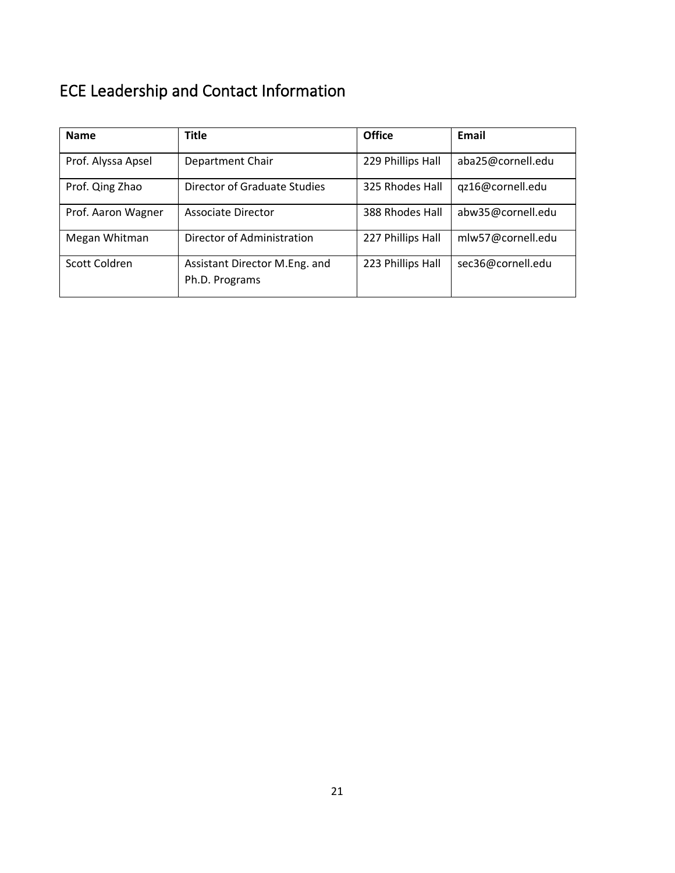# <span id="page-20-0"></span>ECE Leadership and Contact Information

| <b>Name</b>        | <b>Title</b>                                    | <b>Office</b>     | Email             |
|--------------------|-------------------------------------------------|-------------------|-------------------|
| Prof. Alyssa Apsel | Department Chair                                | 229 Phillips Hall | aba25@cornell.edu |
| Prof. Qing Zhao    | Director of Graduate Studies                    | 325 Rhodes Hall   | qz16@cornell.edu  |
| Prof. Aaron Wagner | Associate Director                              | 388 Rhodes Hall   | abw35@cornell.edu |
| Megan Whitman      | Director of Administration                      | 227 Phillips Hall | mlw57@cornell.edu |
| Scott Coldren      | Assistant Director M.Eng. and<br>Ph.D. Programs | 223 Phillips Hall | sec36@cornell.edu |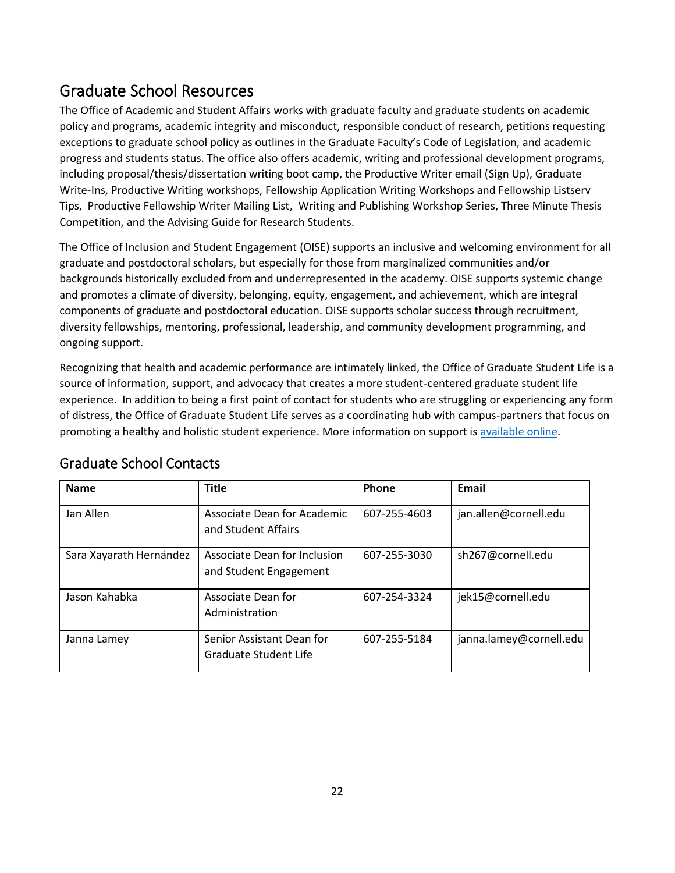# Graduate School Resources

The [Office of Academic and Student Affairs](https://gradschool.cornell.edu/academic-progress/office-of-academic-and-student-affairs/) works with graduate faculty and graduate students on academic policy and programs, academic integrity and misconduct, responsible conduct of research, petitions requesting exceptions to graduate school policy as outlines in the Graduate Faculty's Code of Legislation, and academic progress and students status. The office also offers academic, writing and professional development programs, including proposal/thesis/dissertation writing boot camp, the Productive Writer email [\(Sign Up](https://visitor.r20.constantcontact.com/manage/optin?v=0017CAV_ERFAzG-bsR2rbY4QAU7BD0rR-PSX5tTIbrEZ2ZeIq_5sM5oWHAbahjfmMIGSvpAJ7HrEUgIgATfJ9QM5biKJ8D8LAir5jA3xeS-7TvQAbCNppWXr_LyZA17kWpBLMgOn7RxLxd81zYjwfdsjDGoLUoPrdBpbIE5NrJHYl-Cw0EjUaV4lEGz8ZQVzXz2DV7h8RBN9-08jmhHwXgu4LFwSSCnWkDBQ0UFOlPUBocJaKQzsiZcdg%3D%3D)), Graduate Write-Ins, Productive Writing workshops, [Fellowship Application Writing Workshops](https://gradschool.cornell.edu/academic-progress/office-of-academic-and-student-affairs/fellowship-workshops/) and Fellowship Listserv [Tips,](https://gradschool.cornell.edu/academic-progress/office-of-academic-and-student-affairs/fellowship-workshops/fellowship-application-tips/) [Productive Fellowship Writer Mailing List,](https://gradschool.cornell.edu/academic-progress/office-of-academic-and-student-affairs/fellowship-workshops/productive-fellowship-writer/) [Writing and Publishing Workshop Series,](https://gradschool.cornell.edu/academic-progress/office-of-academic-and-student-affairs/writing-and-publishing-workshop-series/) [Three Minute Thesis](https://gradschool.cornell.edu/academic-progress/office-of-academic-and-student-affairs/three-minute-thesis/)  [Competition,](https://gradschool.cornell.edu/academic-progress/office-of-academic-and-student-affairs/three-minute-thesis/) and the [Advising Guide for Research Students.](https://gradschool.cornell.edu/academic-progress/advising-guide-for-research-students-2020/)

The [Office of Inclusion and Student Engagement](http://www.gradschool.cornell.edu/inclusion) (OISE) supports an inclusive and welcoming environment for all graduate and postdoctoral scholars, but especially for those from marginalized communities and/or backgrounds historically excluded from and underrepresented in the academy. OISE supports systemic change and promotes a climate of diversity, belonging, equity, engagement, and achievement, which are integral components of graduate and postdoctoral education. OISE supports scholar success through recruitment, diversity fellowships, mentoring, professional, leadership, and community development programming, and ongoing support.

Recognizing that health and academic performance are intimately linked, the [Office of Graduate Student Life](https://gradschool.cornell.edu/student-experience/office-of-graduate-student-life/) is a source of information, support, and advocacy that creates a more student-centered graduate student life experience. In addition to being a first point of contact for students who are struggling or experiencing any form of distress, the Office of Graduate Student Life serves as a coordinating hub with campus-partners that focus on promoting a healthy and holistic student experience. More information on support is [available](https://gradschool.cornell.edu/student-experience/help-and-support/) online.

| <b>Name</b>             | <b>Title</b>                                           | Phone        | Email                   |
|-------------------------|--------------------------------------------------------|--------------|-------------------------|
| Jan Allen               | Associate Dean for Academic<br>and Student Affairs     | 607-255-4603 | jan.allen@cornell.edu   |
| Sara Xayarath Hernández | Associate Dean for Inclusion<br>and Student Engagement | 607-255-3030 | sh267@cornell.edu       |
| Jason Kahabka           | Associate Dean for<br>Administration                   | 607-254-3324 | jek15@cornell.edu       |
| Janna Lamey             | Senior Assistant Dean for<br>Graduate Student Life     | 607-255-5184 | janna.lamey@cornell.edu |

# Graduate School Contacts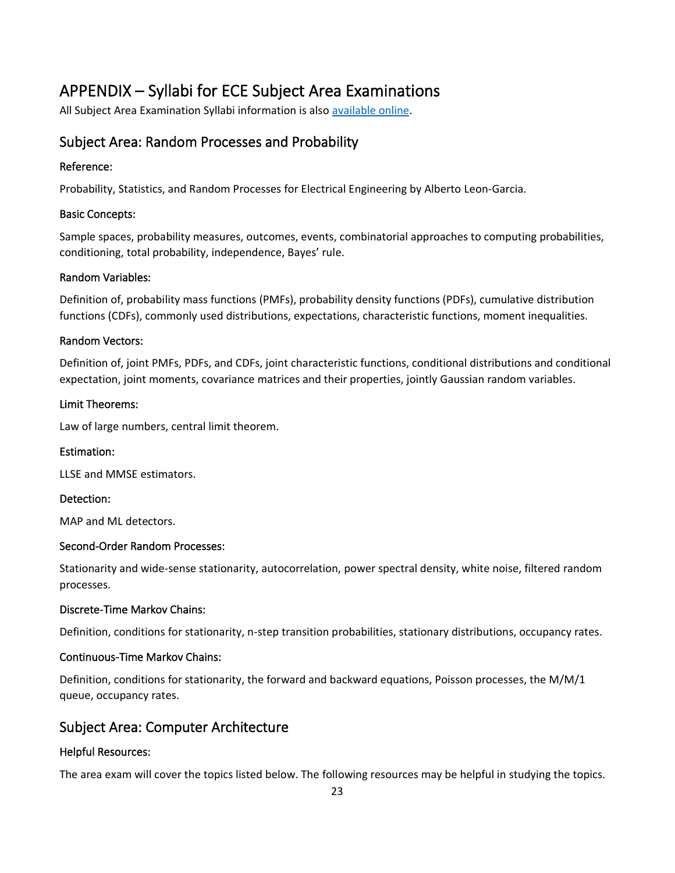# APPENDIX – Syllabi for ECE Subject Area Examinations

All Subject Area Examination Syllabi information is also [available online](https://www.ece.cornell.edu/ece/programs/graduate-programs/phd-program/phd-examinations/qualifying-examination-q-exam).

### Subject Area: Random Processes and Probability

#### Reference:

Probability, Statistics, and Random Processes for Electrical Engineering by Alberto Leon-Garcia.

#### Basic Concepts:

Sample spaces, probability measures, outcomes, events, combinatorial approaches to computing probabilities, conditioning, total probability, independence, Bayes' rule.

#### Random Variables:

Definition of, probability mass functions (PMFs), probability density functions (PDFs), cumulative distribution functions (CDFs), commonly used distributions, expectations, characteristic functions, moment inequalities.

#### Random Vectors:

Definition of, joint PMFs, PDFs, and CDFs, joint characteristic functions, conditional distributions and conditional expectation, joint moments, covariance matrices and their properties, jointly Gaussian random variables.

#### Limit Theorems:

Law of large numbers, central limit theorem.

#### Estimation:

LLSE and MMSE estimators.

#### Detection:

MAP and ML detectors.

#### Second-Order Random Processes:

Stationarity and wide-sense stationarity, autocorrelation, power spectral density, white noise, filtered random processes.

#### Discrete-Time Markov Chains:

Definition, conditions for stationarity, n-step transition probabilities, stationary distributions, occupancy rates.

#### Continuous-Time Markov Chains:

Definition, conditions for stationarity, the forward and backward equations, Poisson processes, the M/M/1 queue, occupancy rates.

### Subject Area: Computer Architecture

### Helpful Resources:

The area exam will cover the topics listed below. The following resources may be helpful in studying the topics.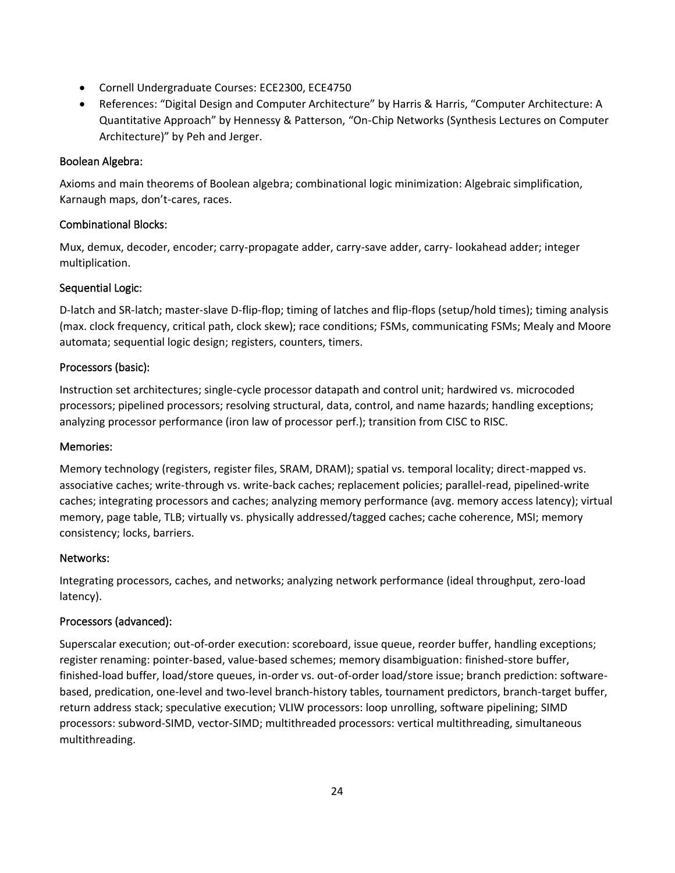- Cornell Undergraduate Courses: ECE2300, ECE4750
- References: "Digital Design and Computer Architecture" by Harris & Harris, "Computer Architecture: A Quantitative Approach" by Hennessy & Patterson, "On-Chip Networks (Synthesis Lectures on Computer Architecture)" by Peh and Jerger.

#### Boolean Algebra:

Axioms and main theorems of Boolean algebra; combinational logic minimization: Algebraic simplification, Karnaugh maps, don't-cares, races.

#### Combinational Blocks:

Mux, demux, decoder, encoder; carry-propagate adder, carry-save adder, carry- lookahead adder; integer multiplication.

#### Sequential Logic:

D-latch and SR-latch; master-slave D-flip-flop; timing of latches and flip-flops (setup/hold times); timing analysis (max. clock frequency, critical path, clock skew); race conditions; FSMs, communicating FSMs; Mealy and Moore automata; sequential logic design; registers, counters, timers.

#### Processors (basic):

Instruction set architectures; single-cycle processor datapath and control unit; hardwired vs. microcoded processors; pipelined processors; resolving structural, data, control, and name hazards; handling exceptions; analyzing processor performance (iron law of processor perf.); transition from CISC to RISC.

#### Memories:

Memory technology (registers, register files, SRAM, DRAM); spatial vs. temporal locality; direct-mapped vs. associative caches; write-through vs. write-back caches; replacement policies; parallel-read, pipelined-write caches; integrating processors and caches; analyzing memory performance (avg. memory access latency); virtual memory, page table, TLB; virtually vs. physically addressed/tagged caches; cache coherence, MSI; memory consistency; locks, barriers.

#### Networks:

Integrating processors, caches, and networks; analyzing network performance (ideal throughput, zero-load latency).

### Processors (advanced):

Superscalar execution; out-of-order execution: scoreboard, issue queue, reorder buffer, handling exceptions; register renaming: pointer-based, value-based schemes; memory disambiguation: finished-store buffer, finished-load buffer, load/store queues, in-order vs. out-of-order load/store issue; branch prediction: softwarebased, predication, one-level and two-level branch-history tables, tournament predictors, branch-target buffer, return address stack; speculative execution; VLIW processors: loop unrolling, software pipelining; SIMD processors: subword-SIMD, vector-SIMD; multithreaded processors: vertical multithreading, simultaneous multithreading.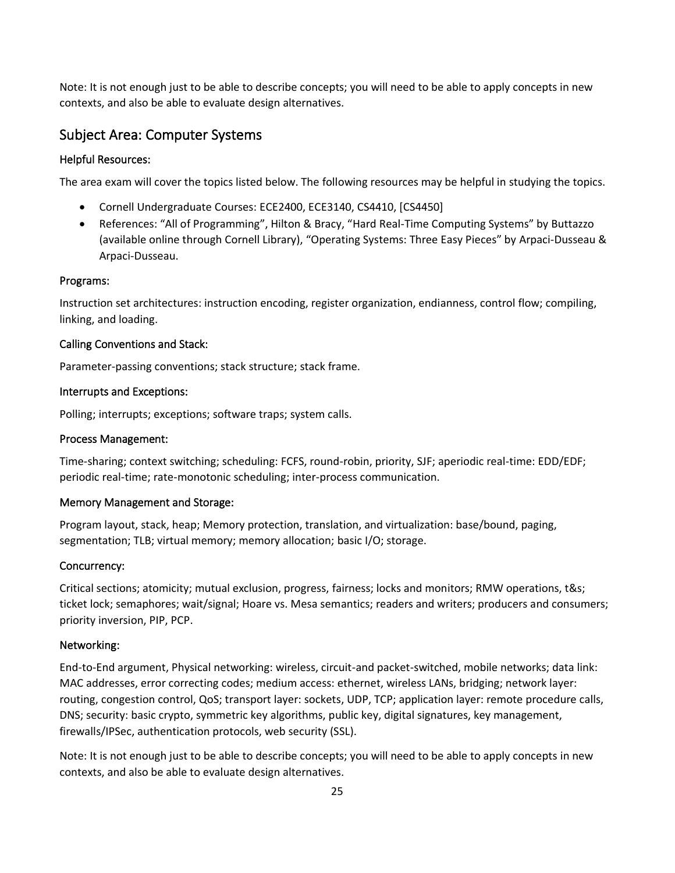Note: It is not enough just to be able to describe concepts; you will need to be able to apply concepts in new contexts, and also be able to evaluate design alternatives.

### Subject Area: Computer Systems

#### Helpful Resources:

The area exam will cover the topics listed below. The following resources may be helpful in studying the topics.

- Cornell Undergraduate Courses: ECE2400, ECE3140, CS4410, [CS4450]
- References: "All of Programming", Hilton & Bracy, "Hard Real-Time Computing Systems" by Buttazzo (available online through Cornell Library), "Operating Systems: Three Easy Pieces" by Arpaci-Dusseau & Arpaci-Dusseau.

#### Programs:

Instruction set architectures: instruction encoding, register organization, endianness, control flow; compiling, linking, and loading.

#### Calling Conventions and Stack:

Parameter-passing conventions; stack structure; stack frame.

#### Interrupts and Exceptions:

Polling; interrupts; exceptions; software traps; system calls.

#### Process Management:

Time-sharing; context switching; scheduling: FCFS, round-robin, priority, SJF; aperiodic real-time: EDD/EDF; periodic real-time; rate-monotonic scheduling; inter-process communication.

#### Memory Management and Storage:

Program layout, stack, heap; Memory protection, translation, and virtualization: base/bound, paging, segmentation; TLB; virtual memory; memory allocation; basic I/O; storage.

#### Concurrency:

Critical sections; atomicity; mutual exclusion, progress, fairness; locks and monitors; RMW operations, t&s; ticket lock; semaphores; wait/signal; Hoare vs. Mesa semantics; readers and writers; producers and consumers; priority inversion, PIP, PCP.

#### Networking:

End-to-End argument, Physical networking: wireless, circuit-and packet-switched, mobile networks; data link: MAC addresses, error correcting codes; medium access: ethernet, wireless LANs, bridging; network layer: routing, congestion control, QoS; transport layer: sockets, UDP, TCP; application layer: remote procedure calls, DNS; security: basic crypto, symmetric key algorithms, public key, digital signatures, key management, firewalls/IPSec, authentication protocols, web security (SSL).

Note: It is not enough just to be able to describe concepts; you will need to be able to apply concepts in new contexts, and also be able to evaluate design alternatives.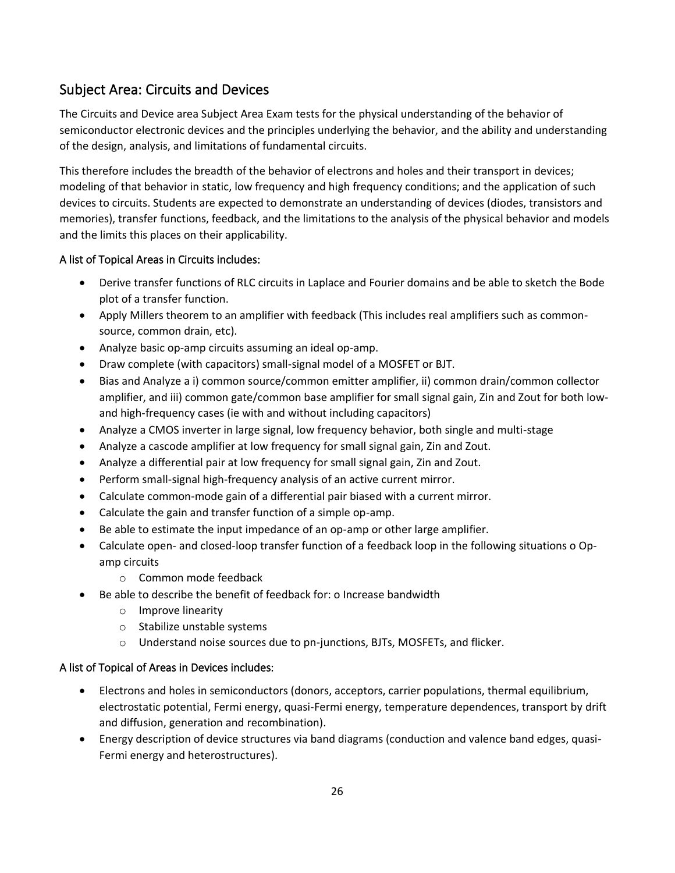## Subject Area: Circuits and Devices

The Circuits and Device area Subject Area Exam tests for the physical understanding of the behavior of semiconductor electronic devices and the principles underlying the behavior, and the ability and understanding of the design, analysis, and limitations of fundamental circuits.

This therefore includes the breadth of the behavior of electrons and holes and their transport in devices; modeling of that behavior in static, low frequency and high frequency conditions; and the application of such devices to circuits. Students are expected to demonstrate an understanding of devices (diodes, transistors and memories), transfer functions, feedback, and the limitations to the analysis of the physical behavior and models and the limits this places on their applicability.

### A list of Topical Areas in Circuits includes:

- Derive transfer functions of RLC circuits in Laplace and Fourier domains and be able to sketch the Bode plot of a transfer function.
- Apply Millers theorem to an amplifier with feedback (This includes real amplifiers such as commonsource, common drain, etc).
- Analyze basic op-amp circuits assuming an ideal op-amp.
- Draw complete (with capacitors) small-signal model of a MOSFET or BJT.
- Bias and Analyze a i) common source/common emitter amplifier, ii) common drain/common collector amplifier, and iii) common gate/common base amplifier for small signal gain, Zin and Zout for both lowand high-frequency cases (ie with and without including capacitors)
- Analyze a CMOS inverter in large signal, low frequency behavior, both single and multi-stage
- Analyze a cascode amplifier at low frequency for small signal gain, Zin and Zout.
- Analyze a differential pair at low frequency for small signal gain, Zin and Zout.
- Perform small-signal high-frequency analysis of an active current mirror.
- Calculate common-mode gain of a differential pair biased with a current mirror.
- Calculate the gain and transfer function of a simple op-amp.
- Be able to estimate the input impedance of an op-amp or other large amplifier.
- Calculate open- and closed-loop transfer function of a feedback loop in the following situations o Opamp circuits
	- o Common mode feedback
- Be able to describe the benefit of feedback for: o Increase bandwidth
	- o Improve linearity
	- o Stabilize unstable systems
	- o Understand noise sources due to pn-junctions, BJTs, MOSFETs, and flicker.

### A list of Topical of Areas in Devices includes:

- Electrons and holes in semiconductors (donors, acceptors, carrier populations, thermal equilibrium, electrostatic potential, Fermi energy, quasi-Fermi energy, temperature dependences, transport by drift and diffusion, generation and recombination).
- Energy description of device structures via band diagrams (conduction and valence band edges, quasi-Fermi energy and heterostructures).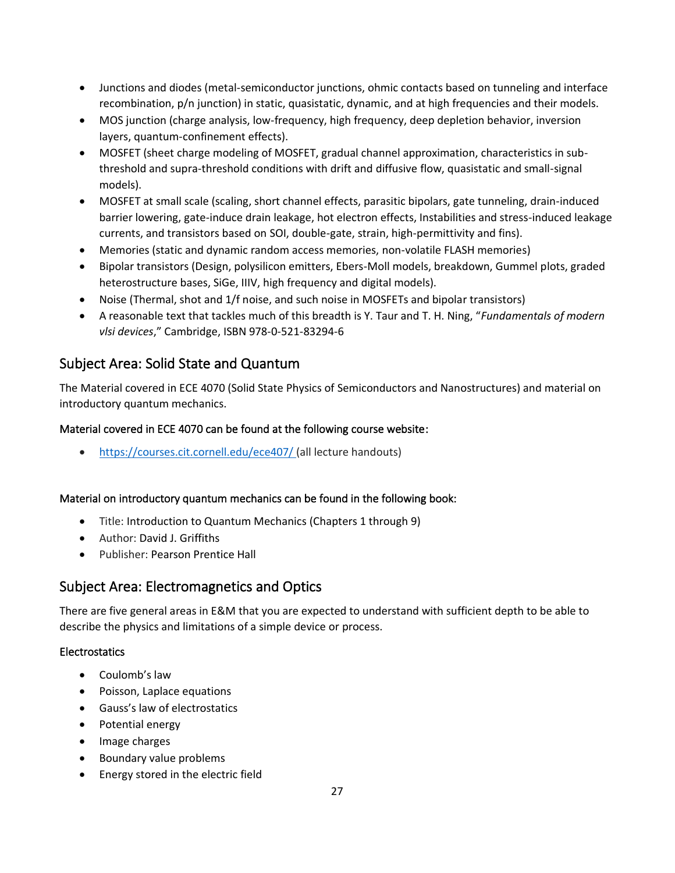- Junctions and diodes (metal-semiconductor junctions, ohmic contacts based on tunneling and interface recombination, p/n junction) in static, quasistatic, dynamic, and at high frequencies and their models.
- MOS junction (charge analysis, low-frequency, high frequency, deep depletion behavior, inversion layers, quantum-confinement effects).
- MOSFET (sheet charge modeling of MOSFET, gradual channel approximation, characteristics in subthreshold and supra-threshold conditions with drift and diffusive flow, quasistatic and small-signal models).
- MOSFET at small scale (scaling, short channel effects, parasitic bipolars, gate tunneling, drain-induced barrier lowering, gate-induce drain leakage, hot electron effects, Instabilities and stress-induced leakage currents, and transistors based on SOI, double-gate, strain, high-permittivity and fins).
- Memories (static and dynamic random access memories, non-volatile FLASH memories)
- Bipolar transistors (Design, polysilicon emitters, Ebers-Moll models, breakdown, Gummel plots, graded heterostructure bases, SiGe, IIIV, high frequency and digital models).
- Noise (Thermal, shot and 1/f noise, and such noise in MOSFETs and bipolar transistors)
- A reasonable text that tackles much of this breadth is Y. Taur and T. H. Ning, "*Fundamentals of modern vlsi devices*," Cambridge, ISBN 978-0-521-83294-6

### Subject Area: Solid State and Quantum

The Material covered in ECE 4070 (Solid State Physics of Semiconductors and Nanostructures) and material on introductory quantum mechanics.

### Material covered in ECE 4070 can be found at the following course website:

• <https://courses.cit.cornell.edu/ece407/> (all lecture handouts)

### Material on introductory quantum mechanics can be found in the following book:

- Title: Introduction to Quantum Mechanics (Chapters 1 through 9)
- Author: David J. Griffiths
- Publisher: Pearson Prentice Hall

### Subject Area: Electromagnetics and Optics

There are five general areas in E&M that you are expected to understand with sufficient depth to be able to describe the physics and limitations of a simple device or process.

### **Electrostatics**

- Coulomb's law
- Poisson, Laplace equations
- Gauss's law of electrostatics
- Potential energy
- Image charges
- Boundary value problems
- Energy stored in the electric field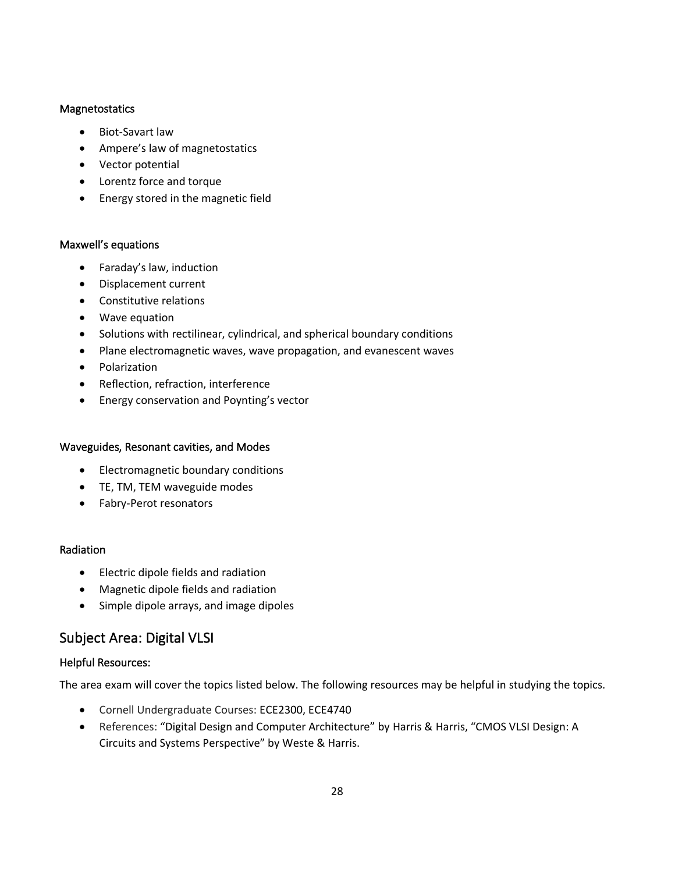#### Magnetostatics

- Biot-Savart law
- Ampere's law of magnetostatics
- Vector potential
- Lorentz force and torque
- Energy stored in the magnetic field

#### Maxwell's equations

- Faraday's law, induction
- Displacement current
- Constitutive relations
- Wave equation
- Solutions with rectilinear, cylindrical, and spherical boundary conditions
- Plane electromagnetic waves, wave propagation, and evanescent waves
- Polarization
- Reflection, refraction, interference
- Energy conservation and Poynting's vector

#### Waveguides, Resonant cavities, and Modes

- Electromagnetic boundary conditions
- TE, TM, TEM waveguide modes
- Fabry-Perot resonators

#### Radiation

- Electric dipole fields and radiation
- Magnetic dipole fields and radiation
- Simple dipole arrays, and image dipoles

### Subject Area: Digital VLSI

#### Helpful Resources:

The area exam will cover the topics listed below. The following resources may be helpful in studying the topics.

- Cornell Undergraduate Courses: ECE2300, ECE4740
- References: "Digital Design and Computer Architecture" by Harris & Harris, "CMOS VLSI Design: A Circuits and Systems Perspective" by Weste & Harris.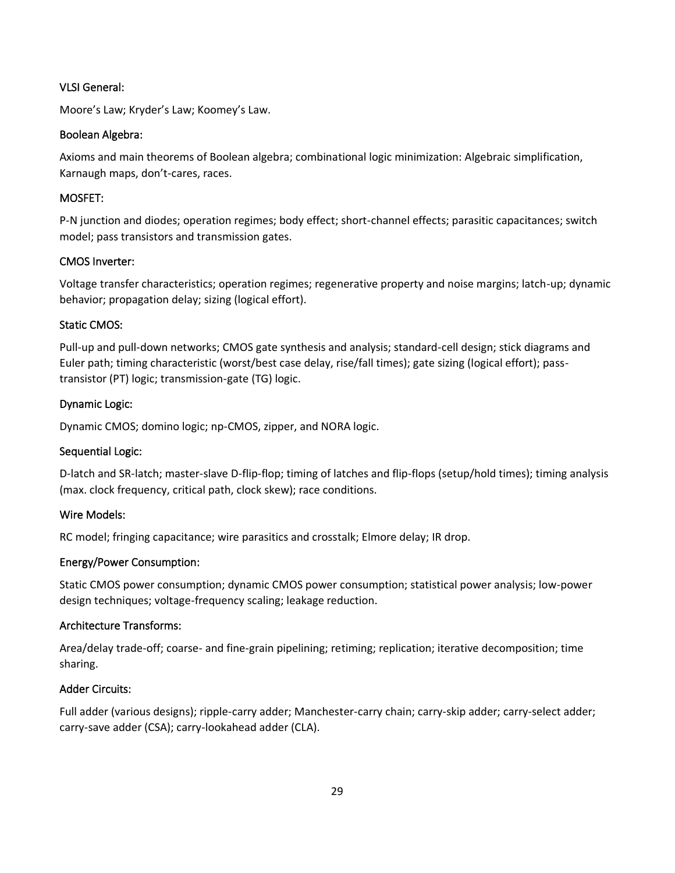#### VLSI General:

Moore's Law; Kryder's Law; Koomey's Law.

#### Boolean Algebra:

Axioms and main theorems of Boolean algebra; combinational logic minimization: Algebraic simplification, Karnaugh maps, don't-cares, races.

#### MOSFET:

P-N junction and diodes; operation regimes; body effect; short-channel effects; parasitic capacitances; switch model; pass transistors and transmission gates.

### CMOS Inverter:

Voltage transfer characteristics; operation regimes; regenerative property and noise margins; latch-up; dynamic behavior; propagation delay; sizing (logical effort).

#### Static CMOS:

Pull-up and pull-down networks; CMOS gate synthesis and analysis; standard-cell design; stick diagrams and Euler path; timing characteristic (worst/best case delay, rise/fall times); gate sizing (logical effort); passtransistor (PT) logic; transmission-gate (TG) logic.

#### Dynamic Logic:

Dynamic CMOS; domino logic; np-CMOS, zipper, and NORA logic.

### Sequential Logic:

D-latch and SR-latch; master-slave D-flip-flop; timing of latches and flip-flops (setup/hold times); timing analysis (max. clock frequency, critical path, clock skew); race conditions.

#### Wire Models:

RC model; fringing capacitance; wire parasitics and crosstalk; Elmore delay; IR drop.

### Energy/Power Consumption:

Static CMOS power consumption; dynamic CMOS power consumption; statistical power analysis; low-power design techniques; voltage-frequency scaling; leakage reduction.

#### Architecture Transforms:

Area/delay trade-off; coarse- and fine-grain pipelining; retiming; replication; iterative decomposition; time sharing.

### Adder Circuits:

Full adder (various designs); ripple-carry adder; Manchester-carry chain; carry-skip adder; carry-select adder; carry-save adder (CSA); carry-lookahead adder (CLA).